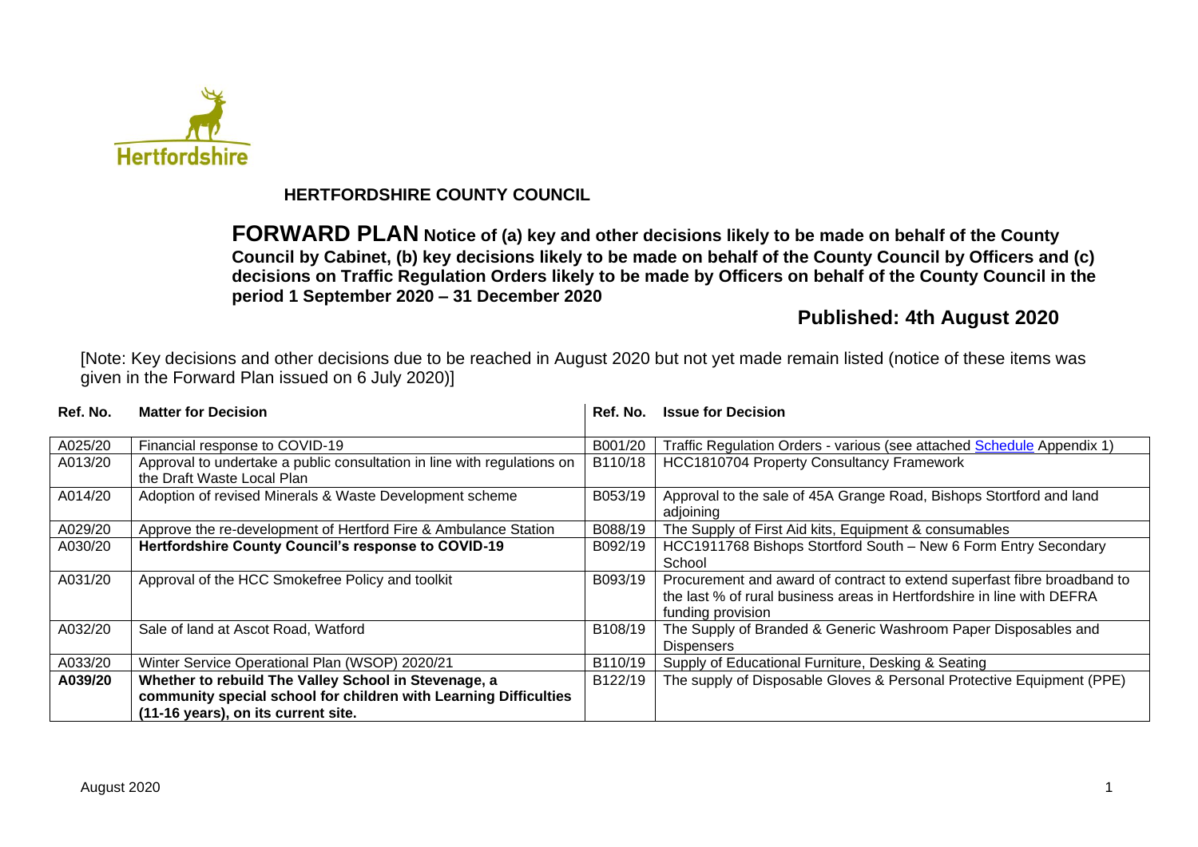

# **HERTFORDSHIRE COUNTY COUNCIL**

**FORWARD PLAN Notice of (a) key and other decisions likely to be made on behalf of the County Council by Cabinet, (b) key decisions likely to be made on behalf of the County Council by Officers and (c) decisions on Traffic Regulation Orders likely to be made by Officers on behalf of the County Council in the period 1 September 2020 – 31 December 2020**

# **Published: 4th August 2020**

[Note: Key decisions and other decisions due to be reached in August 2020 but not yet made remain listed (notice of these items was given in the Forward Plan issued on 6 July 2020)]

| Ref. No. | <b>Matter for Decision</b>                                                                                                                                      | Ref. No. | <b>Issue for Decision</b>                                                                                                                                               |
|----------|-----------------------------------------------------------------------------------------------------------------------------------------------------------------|----------|-------------------------------------------------------------------------------------------------------------------------------------------------------------------------|
| A025/20  | Financial response to COVID-19                                                                                                                                  | B001/20  | Traffic Regulation Orders - various (see attached Schedule Appendix 1)                                                                                                  |
| A013/20  | Approval to undertake a public consultation in line with regulations on<br>the Draft Waste Local Plan                                                           | B110/18  | HCC1810704 Property Consultancy Framework                                                                                                                               |
| A014/20  | Adoption of revised Minerals & Waste Development scheme                                                                                                         | B053/19  | Approval to the sale of 45A Grange Road, Bishops Stortford and land<br>adjoining                                                                                        |
| A029/20  | Approve the re-development of Hertford Fire & Ambulance Station                                                                                                 | B088/19  | The Supply of First Aid kits, Equipment & consumables                                                                                                                   |
| A030/20  | Hertfordshire County Council's response to COVID-19                                                                                                             | B092/19  | HCC1911768 Bishops Stortford South - New 6 Form Entry Secondary<br>School                                                                                               |
| A031/20  | Approval of the HCC Smokefree Policy and toolkit                                                                                                                | B093/19  | Procurement and award of contract to extend superfast fibre broadband to<br>the last % of rural business areas in Hertfordshire in line with DEFRA<br>funding provision |
| A032/20  | Sale of land at Ascot Road, Watford                                                                                                                             | B108/19  | The Supply of Branded & Generic Washroom Paper Disposables and<br><b>Dispensers</b>                                                                                     |
| A033/20  | Winter Service Operational Plan (WSOP) 2020/21                                                                                                                  | B110/19  | Supply of Educational Furniture, Desking & Seating                                                                                                                      |
| A039/20  | Whether to rebuild The Valley School in Stevenage, a<br>community special school for children with Learning Difficulties<br>(11-16 years), on its current site. | B122/19  | The supply of Disposable Gloves & Personal Protective Equipment (PPE)                                                                                                   |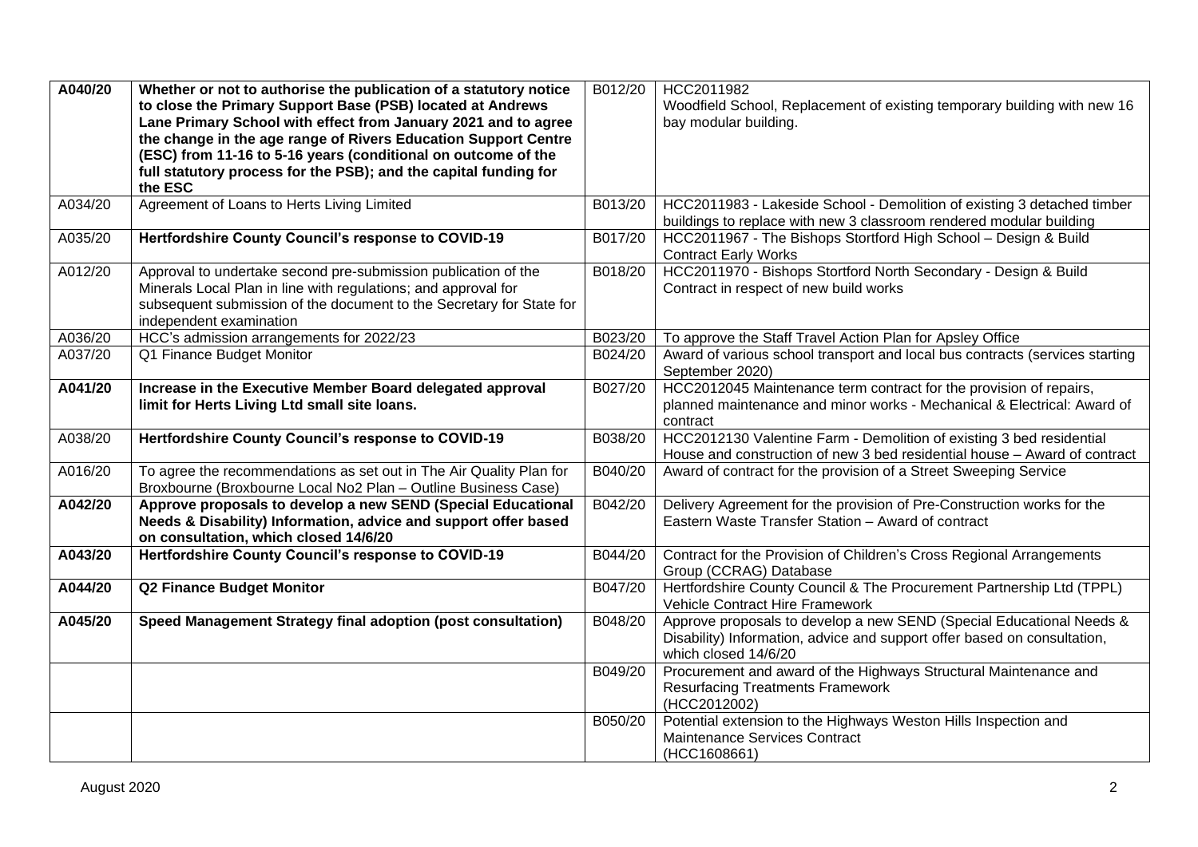| A040/20 | Whether or not to authorise the publication of a statutory notice<br>to close the Primary Support Base (PSB) located at Andrews<br>Lane Primary School with effect from January 2021 and to agree<br>the change in the age range of Rivers Education Support Centre<br>(ESC) from 11-16 to 5-16 years (conditional on outcome of the<br>full statutory process for the PSB); and the capital funding for<br>the ESC | B012/20 | HCC2011982<br>Woodfield School, Replacement of existing temporary building with new 16<br>bay modular building.                                                          |
|---------|---------------------------------------------------------------------------------------------------------------------------------------------------------------------------------------------------------------------------------------------------------------------------------------------------------------------------------------------------------------------------------------------------------------------|---------|--------------------------------------------------------------------------------------------------------------------------------------------------------------------------|
| A034/20 | Agreement of Loans to Herts Living Limited                                                                                                                                                                                                                                                                                                                                                                          | B013/20 | HCC2011983 - Lakeside School - Demolition of existing 3 detached timber<br>buildings to replace with new 3 classroom rendered modular building                           |
| A035/20 | Hertfordshire County Council's response to COVID-19                                                                                                                                                                                                                                                                                                                                                                 | B017/20 | HCC2011967 - The Bishops Stortford High School - Design & Build<br><b>Contract Early Works</b>                                                                           |
| A012/20 | Approval to undertake second pre-submission publication of the<br>Minerals Local Plan in line with regulations; and approval for<br>subsequent submission of the document to the Secretary for State for<br>independent examination                                                                                                                                                                                 | B018/20 | HCC2011970 - Bishops Stortford North Secondary - Design & Build<br>Contract in respect of new build works                                                                |
| A036/20 | HCC's admission arrangements for 2022/23                                                                                                                                                                                                                                                                                                                                                                            | B023/20 | To approve the Staff Travel Action Plan for Apsley Office                                                                                                                |
| A037/20 | Q1 Finance Budget Monitor                                                                                                                                                                                                                                                                                                                                                                                           | B024/20 | Award of various school transport and local bus contracts (services starting<br>September 2020)                                                                          |
| A041/20 | Increase in the Executive Member Board delegated approval<br>limit for Herts Living Ltd small site loans.                                                                                                                                                                                                                                                                                                           | B027/20 | HCC2012045 Maintenance term contract for the provision of repairs,<br>planned maintenance and minor works - Mechanical & Electrical: Award of<br>contract                |
| A038/20 | Hertfordshire County Council's response to COVID-19                                                                                                                                                                                                                                                                                                                                                                 | B038/20 | HCC2012130 Valentine Farm - Demolition of existing 3 bed residential<br>House and construction of new 3 bed residential house - Award of contract                        |
| A016/20 | To agree the recommendations as set out in The Air Quality Plan for<br>Broxbourne (Broxbourne Local No2 Plan - Outline Business Case)                                                                                                                                                                                                                                                                               | B040/20 | Award of contract for the provision of a Street Sweeping Service                                                                                                         |
| A042/20 | Approve proposals to develop a new SEND (Special Educational<br>Needs & Disability) Information, advice and support offer based<br>on consultation, which closed 14/6/20                                                                                                                                                                                                                                            | B042/20 | Delivery Agreement for the provision of Pre-Construction works for the<br>Eastern Waste Transfer Station - Award of contract                                             |
| A043/20 | Hertfordshire County Council's response to COVID-19                                                                                                                                                                                                                                                                                                                                                                 | B044/20 | Contract for the Provision of Children's Cross Regional Arrangements<br>Group (CCRAG) Database                                                                           |
| A044/20 | <b>Q2 Finance Budget Monitor</b>                                                                                                                                                                                                                                                                                                                                                                                    | B047/20 | Hertfordshire County Council & The Procurement Partnership Ltd (TPPL)<br><b>Vehicle Contract Hire Framework</b>                                                          |
| A045/20 | Speed Management Strategy final adoption (post consultation)                                                                                                                                                                                                                                                                                                                                                        | B048/20 | Approve proposals to develop a new SEND (Special Educational Needs &<br>Disability) Information, advice and support offer based on consultation,<br>which closed 14/6/20 |
|         |                                                                                                                                                                                                                                                                                                                                                                                                                     | B049/20 | Procurement and award of the Highways Structural Maintenance and<br><b>Resurfacing Treatments Framework</b><br>(HCC2012002)                                              |
|         |                                                                                                                                                                                                                                                                                                                                                                                                                     | B050/20 | Potential extension to the Highways Weston Hills Inspection and<br>Maintenance Services Contract<br>(HCC1608661)                                                         |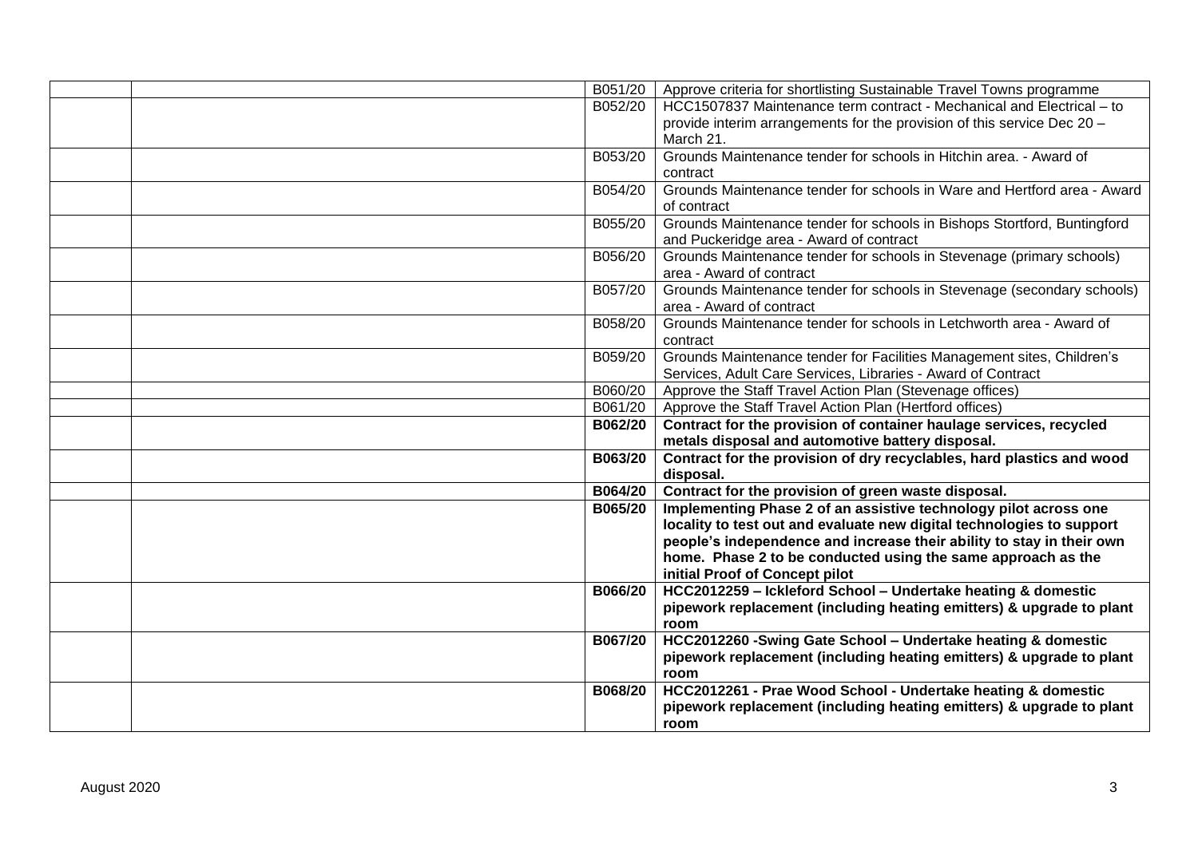| B051/20        | Approve criteria for shortlisting Sustainable Travel Towns programme     |
|----------------|--------------------------------------------------------------------------|
| B052/20        | HCC1507837 Maintenance term contract - Mechanical and Electrical - to    |
|                | provide interim arrangements for the provision of this service Dec 20 -  |
|                | March 21.                                                                |
| B053/20        | Grounds Maintenance tender for schools in Hitchin area. - Award of       |
|                | contract                                                                 |
| B054/20        | Grounds Maintenance tender for schools in Ware and Hertford area - Award |
|                | of contract                                                              |
| B055/20        | Grounds Maintenance tender for schools in Bishops Stortford, Buntingford |
|                | and Puckeridge area - Award of contract                                  |
| B056/20        | Grounds Maintenance tender for schools in Stevenage (primary schools)    |
|                | area - Award of contract                                                 |
| B057/20        | Grounds Maintenance tender for schools in Stevenage (secondary schools)  |
|                | area - Award of contract                                                 |
| B058/20        | Grounds Maintenance tender for schools in Letchworth area - Award of     |
|                | contract                                                                 |
| B059/20        | Grounds Maintenance tender for Facilities Management sites, Children's   |
|                | Services, Adult Care Services, Libraries - Award of Contract             |
| B060/20        | Approve the Staff Travel Action Plan (Stevenage offices)                 |
|                | B061/20   Approve the Staff Travel Action Plan (Hertford offices)        |
| <b>B062/20</b> | Contract for the provision of container haulage services, recycled       |
|                | metals disposal and automotive battery disposal.                         |
| B063/20        | Contract for the provision of dry recyclables, hard plastics and wood    |
|                | disposal.                                                                |
| <b>B064/20</b> | Contract for the provision of green waste disposal.                      |
| B065/20        | Implementing Phase 2 of an assistive technology pilot across one         |
|                | locality to test out and evaluate new digital technologies to support    |
|                | people's independence and increase their ability to stay in their own    |
|                | home. Phase 2 to be conducted using the same approach as the             |
|                | initial Proof of Concept pilot                                           |
| <b>B066/20</b> | HCC2012259 - Ickleford School - Undertake heating & domestic             |
|                | pipework replacement (including heating emitters) & upgrade to plant     |
|                | room                                                                     |
| <b>B067/20</b> | HCC2012260 -Swing Gate School - Undertake heating & domestic             |
|                | pipework replacement (including heating emitters) & upgrade to plant     |
|                | room                                                                     |
| <b>B068/20</b> | HCC2012261 - Prae Wood School - Undertake heating & domestic             |
|                | pipework replacement (including heating emitters) & upgrade to plant     |
|                | room                                                                     |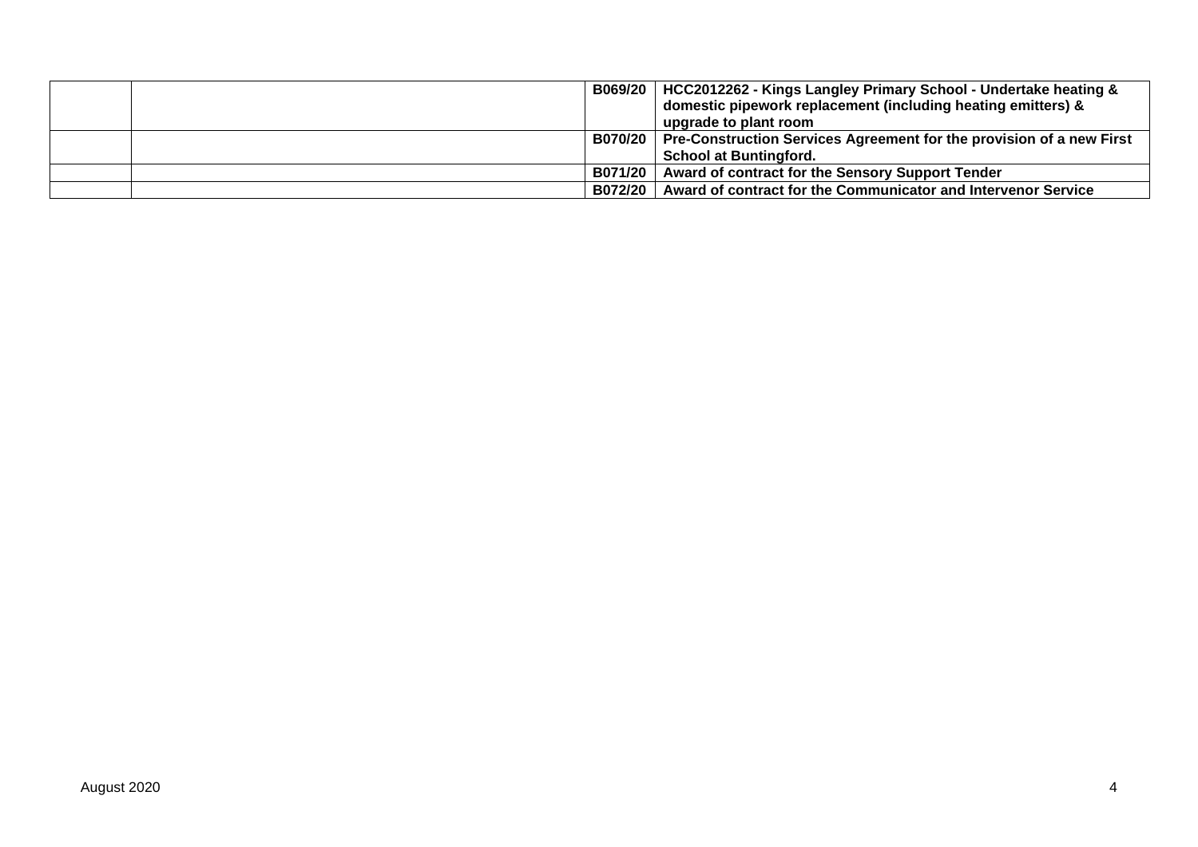|  | B069/20   HCC2012262 - Kings Langley Primary School - Undertake heating &      |
|--|--------------------------------------------------------------------------------|
|  | domestic pipework replacement (including heating emitters) &                   |
|  | upgrade to plant room                                                          |
|  | B070/20   Pre-Construction Services Agreement for the provision of a new First |
|  | <b>School at Buntingford.</b>                                                  |
|  | B071/20   Award of contract for the Sensory Support Tender                     |
|  | B072/20   Award of contract for the Communicator and Intervenor Service        |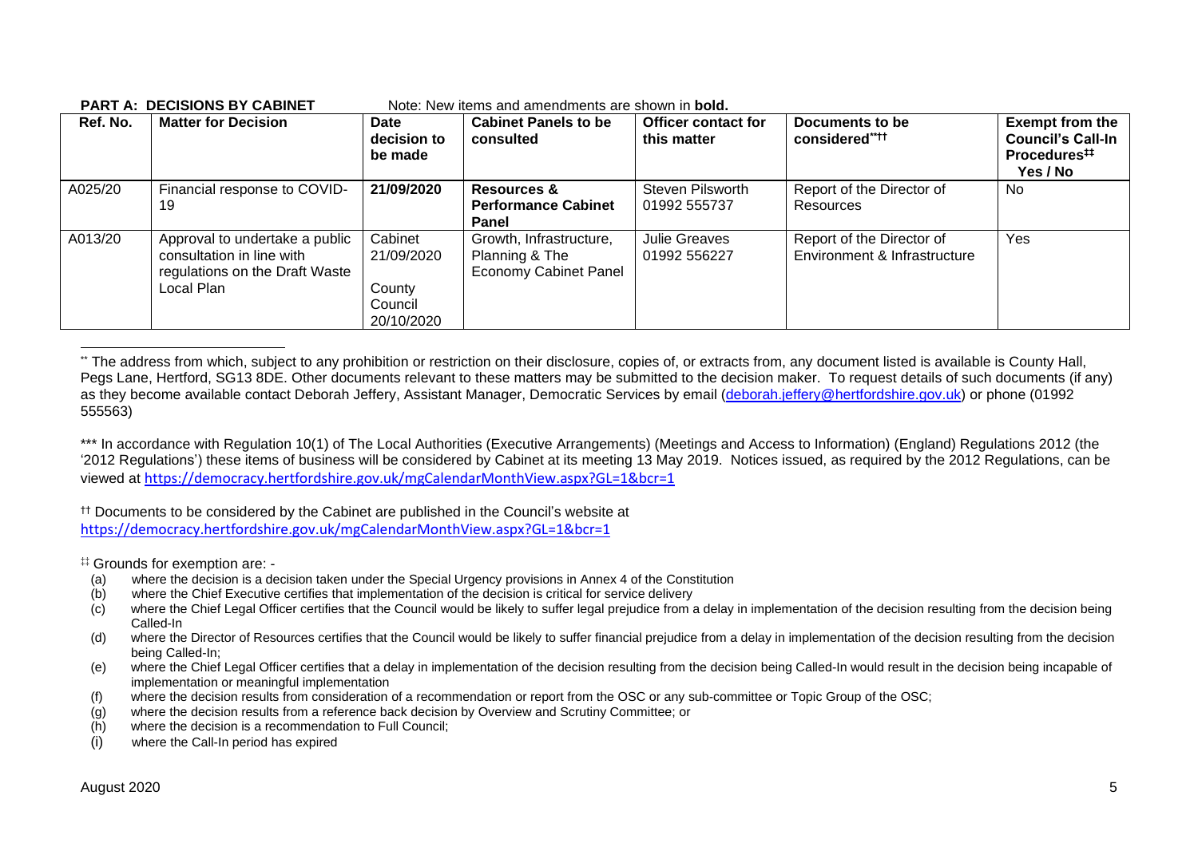| Ref. No. | <b>Matter for Decision</b>                                                                                  | Date<br>decision to<br>be made                           | <b>Cabinet Panels to be</b><br>consulted                                  | <b>Officer contact for</b><br>this matter | Documents to be<br>considered****                         | <b>Exempt from the</b><br><b>Council's Call-In</b><br>Procedures <sup>#</sup><br>Yes / No |
|----------|-------------------------------------------------------------------------------------------------------------|----------------------------------------------------------|---------------------------------------------------------------------------|-------------------------------------------|-----------------------------------------------------------|-------------------------------------------------------------------------------------------|
| A025/20  | Financial response to COVID-<br>19                                                                          | 21/09/2020                                               | Resources &<br><b>Performance Cabinet</b><br>Panel                        | Steven Pilsworth<br>01992 555737          | Report of the Director of<br>Resources                    | <b>No</b>                                                                                 |
| A013/20  | Approval to undertake a public<br>consultation in line with<br>regulations on the Draft Waste<br>Local Plan | Cabinet<br>21/09/2020<br>County<br>Council<br>20/10/2020 | Growth, Infrastructure,<br>Planning & The<br><b>Economy Cabinet Panel</b> | Julie Greaves<br>01992 556227             | Report of the Director of<br>Environment & Infrastructure | Yes                                                                                       |

#### **PART A: DECISIONS BY CABINET** Note: New items and amendments are shown in **bold.**

\*\* The address from which, subject to any prohibition or restriction on their disclosure, copies of, or extracts from, any document listed is available is County Hall, Pegs Lane, Hertford, SG13 8DE. Other documents relevant to these matters may be submitted to the decision maker. To request details of such documents (if any) as they become available contact Deborah Jeffery, Assistant Manager, Democratic Services by email [\(deborah.jeffery@hertfordshire.gov.uk\)](mailto:deborah.jeffery@hertfordshire.gov.uk) or phone (01992 555563)

\*\*\* In accordance with Regulation 10(1) of The Local Authorities (Executive Arrangements) (Meetings and Access to Information) (England) Regulations 2012 (the '2012 Regulations') these items of business will be considered by Cabinet at its meeting 13 May 2019. Notices issued, as required by the 2012 Regulations, can be viewed at <https://democracy.hertfordshire.gov.uk/mgCalendarMonthView.aspx?GL=1&bcr=1>

†† Documents to be considered by the Cabinet are published in the Council's website at <https://democracy.hertfordshire.gov.uk/mgCalendarMonthView.aspx?GL=1&bcr=1>

‡‡ Grounds for exemption are: -

- (a) where the decision is a decision taken under the Special Urgency provisions in Annex 4 of the Constitution
- (b) where the Chief Executive certifies that implementation of the decision is critical for service delivery
- (c) where the Chief Legal Officer certifies that the Council would be likely to suffer legal prejudice from a delay in implementation of the decision resulting from the decision being Called-In
- (d) where the Director of Resources certifies that the Council would be likely to suffer financial prejudice from a delay in implementation of the decision resulting from the decision being Called-In;
- (e) where the Chief Legal Officer certifies that a delay in implementation of the decision resulting from the decision being Called-In would result in the decision being incapable of implementation or meaningful implementation
- (f) where the decision results from consideration of a recommendation or report from the OSC or any sub-committee or Topic Group of the OSC;
- (g) where the decision results from a reference back decision by Overview and Scrutiny Committee; or
- (h) where the decision is a recommendation to Full Council;
- (i) where the Call-In period has expired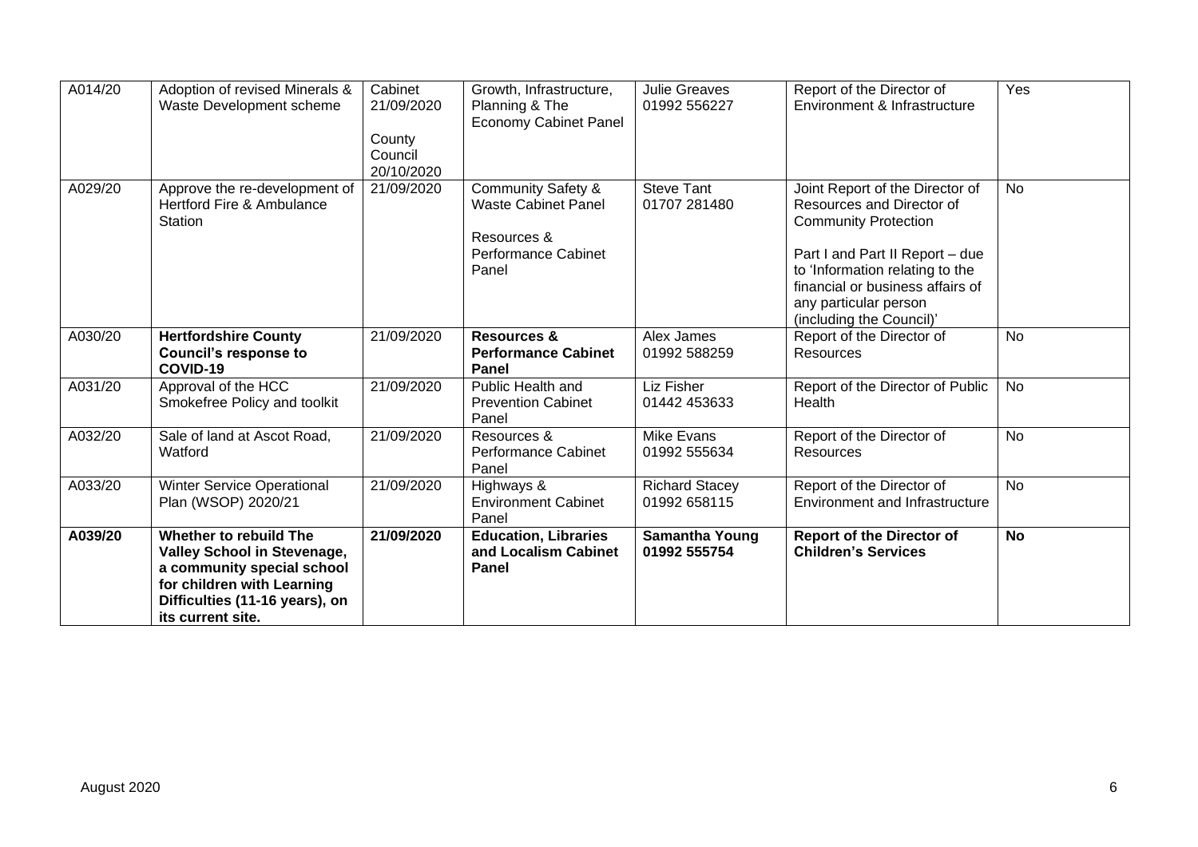| A014/20 | Adoption of revised Minerals &<br>Waste Development scheme                                                                                                                      | Cabinet<br>21/09/2020<br>County<br>Council<br>20/10/2020 | Growth, Infrastructure,<br>Planning & The<br><b>Economy Cabinet Panel</b>                                  | <b>Julie Greaves</b><br>01992 556227  | Report of the Director of<br>Environment & Infrastructure                                                                                                                                                                                                  | $\overline{Yes}$ |
|---------|---------------------------------------------------------------------------------------------------------------------------------------------------------------------------------|----------------------------------------------------------|------------------------------------------------------------------------------------------------------------|---------------------------------------|------------------------------------------------------------------------------------------------------------------------------------------------------------------------------------------------------------------------------------------------------------|------------------|
| A029/20 | Approve the re-development of<br>Hertford Fire & Ambulance<br><b>Station</b>                                                                                                    | 21/09/2020                                               | <b>Community Safety &amp;</b><br><b>Waste Cabinet Panel</b><br>Resources &<br>Performance Cabinet<br>Panel | <b>Steve Tant</b><br>01707 281480     | Joint Report of the Director of<br>Resources and Director of<br><b>Community Protection</b><br>Part I and Part II Report - due<br>to 'Information relating to the<br>financial or business affairs of<br>any particular person<br>(including the Council)' | <b>No</b>        |
| A030/20 | <b>Hertfordshire County</b><br><b>Council's response to</b><br>COVID-19                                                                                                         | 21/09/2020                                               | <b>Resources &amp;</b><br><b>Performance Cabinet</b><br><b>Panel</b>                                       | Alex James<br>01992 588259            | Report of the Director of<br>Resources                                                                                                                                                                                                                     | <b>No</b>        |
| A031/20 | Approval of the HCC<br>Smokefree Policy and toolkit                                                                                                                             | 21/09/2020                                               | Public Health and<br><b>Prevention Cabinet</b><br>Panel                                                    | Liz Fisher<br>01442 453633            | Report of the Director of Public<br>Health                                                                                                                                                                                                                 | <b>No</b>        |
| A032/20 | Sale of land at Ascot Road,<br>Watford                                                                                                                                          | 21/09/2020                                               | Resources &<br>Performance Cabinet<br>Panel                                                                | Mike Evans<br>01992 555634            | Report of the Director of<br>Resources                                                                                                                                                                                                                     | <b>No</b>        |
| A033/20 | <b>Winter Service Operational</b><br>Plan (WSOP) 2020/21                                                                                                                        | 21/09/2020                                               | Highways &<br><b>Environment Cabinet</b><br>Panel                                                          | <b>Richard Stacey</b><br>01992 658115 | Report of the Director of<br>Environment and Infrastructure                                                                                                                                                                                                | <b>No</b>        |
| A039/20 | Whether to rebuild The<br><b>Valley School in Stevenage,</b><br>a community special school<br>for children with Learning<br>Difficulties (11-16 years), on<br>its current site. | 21/09/2020                                               | <b>Education, Libraries</b><br>and Localism Cabinet<br>Panel                                               | <b>Samantha Young</b><br>01992 555754 | <b>Report of the Director of</b><br><b>Children's Services</b>                                                                                                                                                                                             | <b>No</b>        |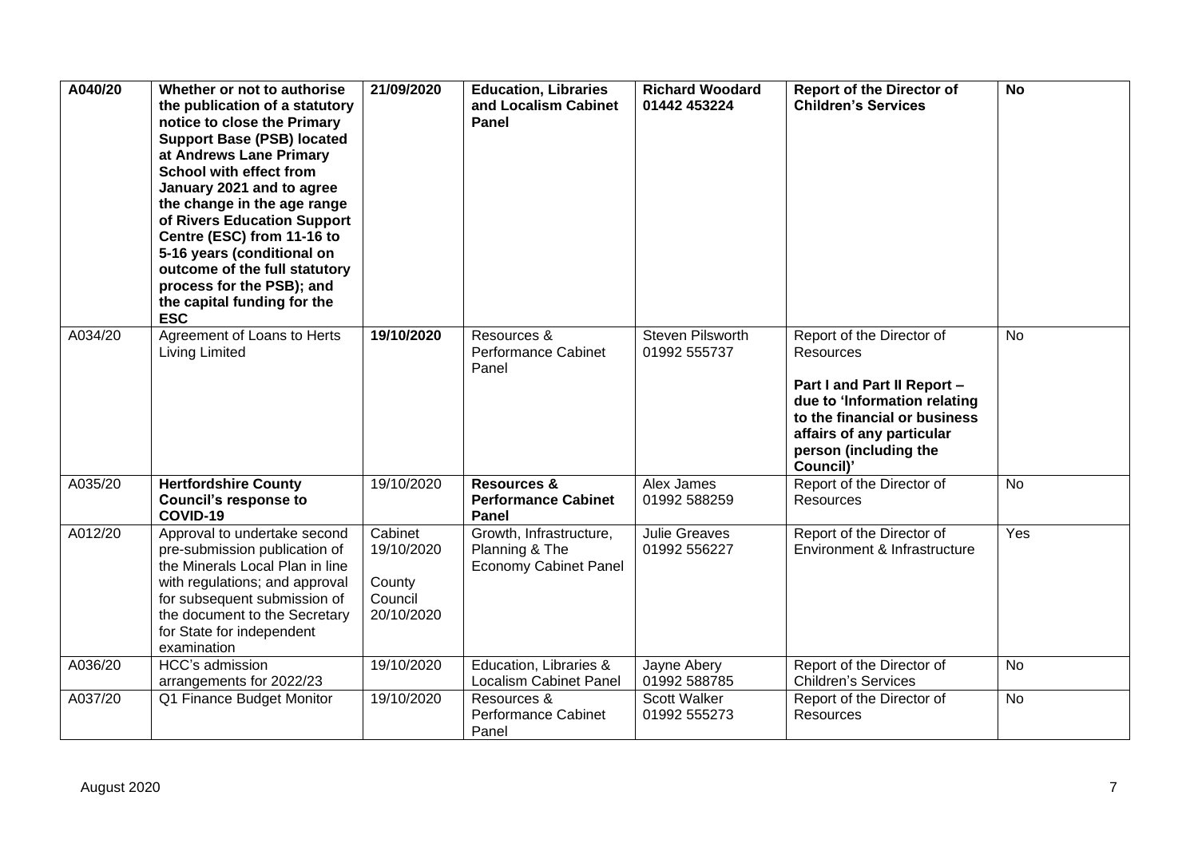| A040/20 | Whether or not to authorise<br>the publication of a statutory<br>notice to close the Primary<br><b>Support Base (PSB) located</b><br>at Andrews Lane Primary<br><b>School with effect from</b><br>January 2021 and to agree<br>the change in the age range<br>of Rivers Education Support<br>Centre (ESC) from 11-16 to<br>5-16 years (conditional on<br>outcome of the full statutory<br>process for the PSB); and<br>the capital funding for the<br><b>ESC</b> | 21/09/2020                                               | <b>Education, Libraries</b><br>and Localism Cabinet<br><b>Panel</b>       | <b>Richard Woodard</b><br>01442 453224 | <b>Report of the Director of</b><br><b>Children's Services</b>                                                                                                                                                  | <b>No</b> |
|---------|------------------------------------------------------------------------------------------------------------------------------------------------------------------------------------------------------------------------------------------------------------------------------------------------------------------------------------------------------------------------------------------------------------------------------------------------------------------|----------------------------------------------------------|---------------------------------------------------------------------------|----------------------------------------|-----------------------------------------------------------------------------------------------------------------------------------------------------------------------------------------------------------------|-----------|
| A034/20 | Agreement of Loans to Herts<br><b>Living Limited</b>                                                                                                                                                                                                                                                                                                                                                                                                             | 19/10/2020                                               | Resources &<br>Performance Cabinet<br>Panel                               | Steven Pilsworth<br>01992 555737       | Report of the Director of<br><b>Resources</b><br>Part I and Part II Report -<br>due to 'Information relating<br>to the financial or business<br>affairs of any particular<br>person (including the<br>Council)' | <b>No</b> |
| A035/20 | <b>Hertfordshire County</b><br><b>Council's response to</b><br>COVID-19                                                                                                                                                                                                                                                                                                                                                                                          | 19/10/2020                                               | <b>Resources &amp;</b><br><b>Performance Cabinet</b><br>Panel             | Alex James<br>01992 588259             | Report of the Director of<br>Resources                                                                                                                                                                          | <b>No</b> |
| A012/20 | Approval to undertake second<br>pre-submission publication of<br>the Minerals Local Plan in line<br>with regulations; and approval<br>for subsequent submission of<br>the document to the Secretary<br>for State for independent<br>examination                                                                                                                                                                                                                  | Cabinet<br>19/10/2020<br>County<br>Council<br>20/10/2020 | Growth, Infrastructure,<br>Planning & The<br><b>Economy Cabinet Panel</b> | <b>Julie Greaves</b><br>01992 556227   | Report of the Director of<br>Environment & Infrastructure                                                                                                                                                       | Yes       |
| A036/20 | HCC's admission<br>arrangements for 2022/23                                                                                                                                                                                                                                                                                                                                                                                                                      | 19/10/2020                                               | Education, Libraries &<br><b>Localism Cabinet Panel</b>                   | Jayne Abery<br>01992 588785            | Report of the Director of<br><b>Children's Services</b>                                                                                                                                                         | No        |
| A037/20 | Q1 Finance Budget Monitor                                                                                                                                                                                                                                                                                                                                                                                                                                        | 19/10/2020                                               | Resources &<br><b>Performance Cabinet</b><br>Panel                        | Scott Walker<br>01992 555273           | Report of the Director of<br>Resources                                                                                                                                                                          | No        |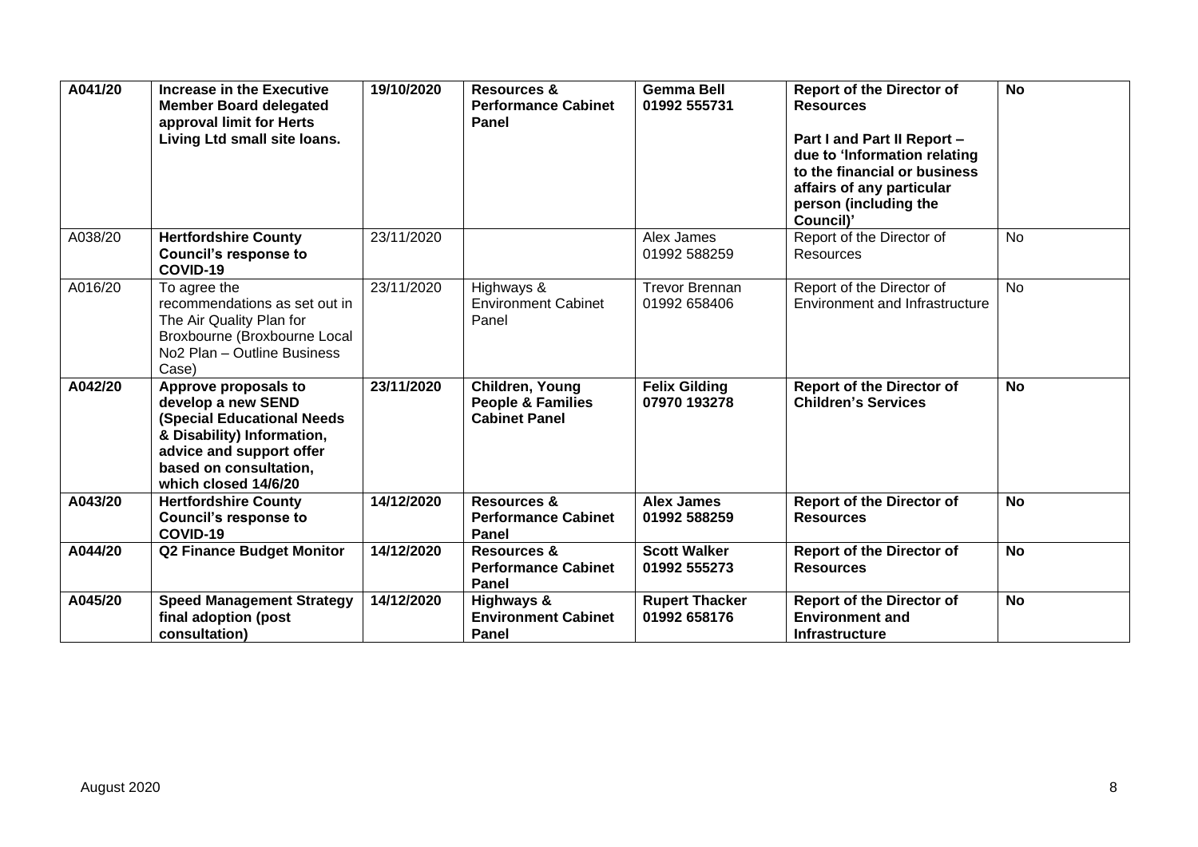| A041/20 | Increase in the Executive<br><b>Member Board delegated</b><br>approval limit for Herts<br>Living Ltd small site loans.                                                                      | 19/10/2020 | <b>Resources &amp;</b><br><b>Performance Cabinet</b><br>Panel           | <b>Gemma Bell</b><br>01992 555731     | <b>Report of the Director of</b><br><b>Resources</b><br>Part I and Part II Report -<br>due to 'Information relating<br>to the financial or business<br>affairs of any particular<br>person (including the<br>Council)' | $\overline{N}$ |
|---------|---------------------------------------------------------------------------------------------------------------------------------------------------------------------------------------------|------------|-------------------------------------------------------------------------|---------------------------------------|------------------------------------------------------------------------------------------------------------------------------------------------------------------------------------------------------------------------|----------------|
| A038/20 | <b>Hertfordshire County</b><br><b>Council's response to</b><br>COVID-19                                                                                                                     | 23/11/2020 |                                                                         | Alex James<br>01992 588259            | Report of the Director of<br><b>Resources</b>                                                                                                                                                                          | <b>No</b>      |
| A016/20 | To agree the<br>recommendations as set out in<br>The Air Quality Plan for<br>Broxbourne (Broxbourne Local<br>No <sub>2</sub> Plan - Outline Business<br>Case)                               | 23/11/2020 | Highways &<br><b>Environment Cabinet</b><br>Panel                       | <b>Trevor Brennan</b><br>01992 658406 | Report of the Director of<br>Environment and Infrastructure                                                                                                                                                            | <b>No</b>      |
| A042/20 | Approve proposals to<br>develop a new SEND<br><b>(Special Educational Needs</b><br>& Disability) Information,<br>advice and support offer<br>based on consultation,<br>which closed 14/6/20 | 23/11/2020 | Children, Young<br><b>People &amp; Families</b><br><b>Cabinet Panel</b> | <b>Felix Gilding</b><br>07970 193278  | <b>Report of the Director of</b><br><b>Children's Services</b>                                                                                                                                                         | <b>No</b>      |
| A043/20 | <b>Hertfordshire County</b><br><b>Council's response to</b><br>COVID-19                                                                                                                     | 14/12/2020 | <b>Resources &amp;</b><br><b>Performance Cabinet</b><br>Panel           | <b>Alex James</b><br>01992 588259     | <b>Report of the Director of</b><br><b>Resources</b>                                                                                                                                                                   | <b>No</b>      |
| A044/20 | <b>Q2 Finance Budget Monitor</b>                                                                                                                                                            | 14/12/2020 | <b>Resources &amp;</b><br><b>Performance Cabinet</b><br>Panel           | <b>Scott Walker</b><br>01992 555273   | <b>Report of the Director of</b><br><b>Resources</b>                                                                                                                                                                   | <b>No</b>      |
| A045/20 | <b>Speed Management Strategy</b><br>final adoption (post<br>consultation)                                                                                                                   | 14/12/2020 | Highways &<br><b>Environment Cabinet</b><br>Panel                       | <b>Rupert Thacker</b><br>01992 658176 | <b>Report of the Director of</b><br><b>Environment and</b><br><b>Infrastructure</b>                                                                                                                                    | <b>No</b>      |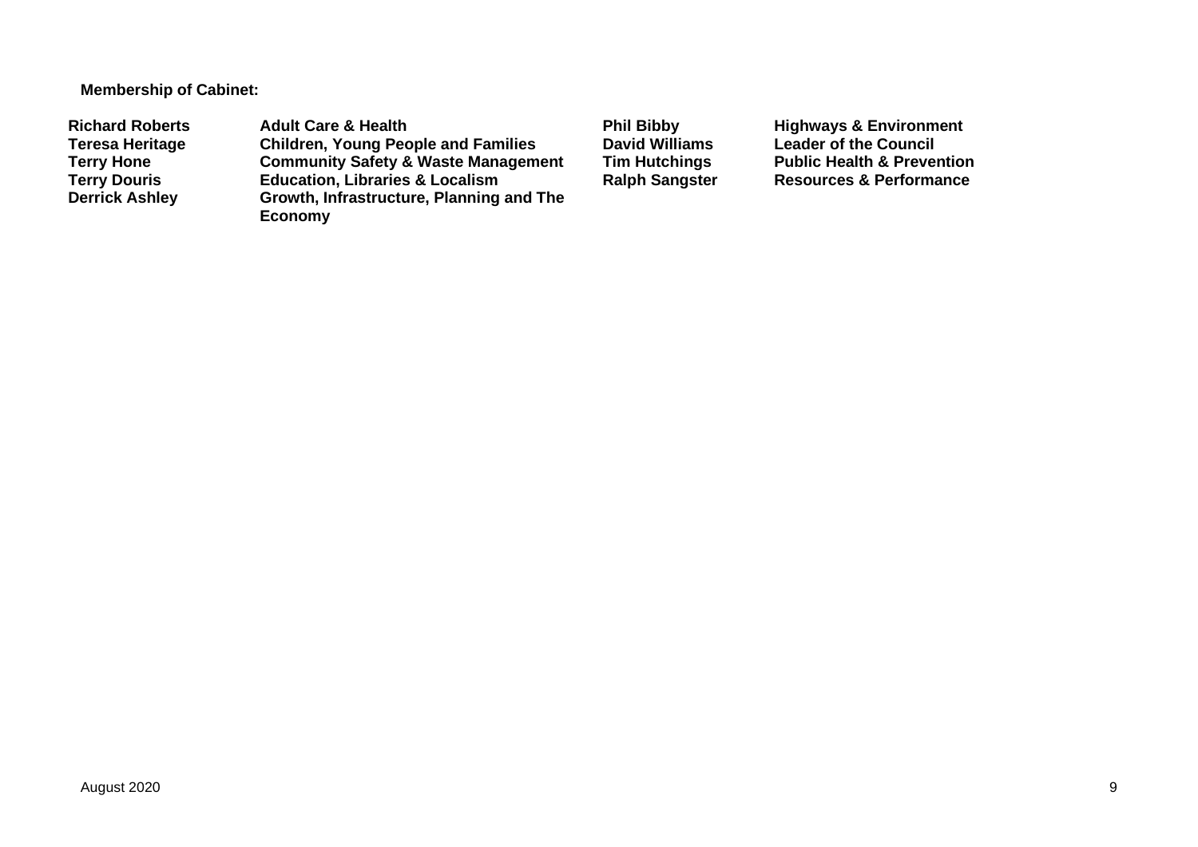**Membership of Cabinet:**

Richard Roberts **Adult Care & Health Phil Bibby Highways & Environment**<br> **Referesa Heritage** Children, Young People and Families David Williams Leader of the Council **Teresa Heritage Children, Young People and Families David Williams Leader of the Council Terry Hone Community Safety & Waste Management Tim Hutchings** Public Health & Prevention<br> **Terry Douris Education, Libraries & Localism** Ralph Sangster Resources & Performance **Terry Douris Education, Libraries & Localism <br>Derrick Ashley <b>Ralph** Growth, Infrastructure, Planning **Growth, Infrastructure, Planning and The Economy**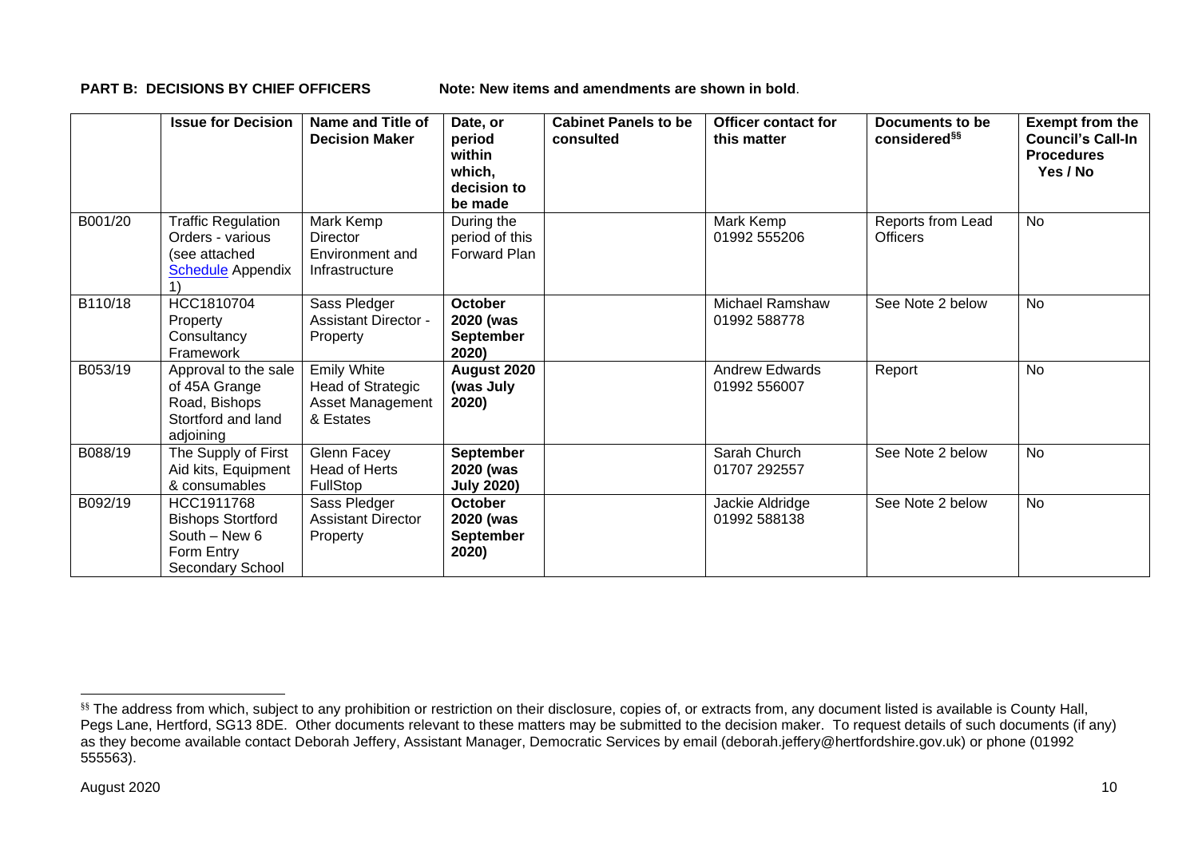**PART B: DECISIONS BY CHIEF OFFICERS Note: New items and amendments are shown in bold**.

|         | <b>Issue for Decision</b>                                                                  | Name and Title of<br><b>Decision Maker</b>                               | Date, or<br>period<br>within<br>which,<br>decision to<br>be made | <b>Cabinet Panels to be</b><br>consulted | <b>Officer contact for</b><br>this matter | Documents to be<br>considered <sup>§§</sup> | <b>Exempt from the</b><br><b>Council's Call-In</b><br><b>Procedures</b><br>Yes / No |
|---------|--------------------------------------------------------------------------------------------|--------------------------------------------------------------------------|------------------------------------------------------------------|------------------------------------------|-------------------------------------------|---------------------------------------------|-------------------------------------------------------------------------------------|
| B001/20 | <b>Traffic Regulation</b><br>Orders - various<br>(see attached<br><b>Schedule</b> Appendix | Mark Kemp<br>Director<br>Environment and<br>Infrastructure               | During the<br>period of this<br>Forward Plan                     |                                          | Mark Kemp<br>01992 555206                 | Reports from Lead<br><b>Officers</b>        | No                                                                                  |
| B110/18 | HCC1810704<br>Property<br>Consultancy<br>Framework                                         | Sass Pledger<br><b>Assistant Director -</b><br>Property                  | <b>October</b><br>2020 (was<br><b>September</b><br>2020)         |                                          | <b>Michael Ramshaw</b><br>01992 588778    | See Note 2 below                            | <b>No</b>                                                                           |
| B053/19 | Approval to the sale<br>of 45A Grange<br>Road, Bishops<br>Stortford and land<br>adjoining  | <b>Emily White</b><br>Head of Strategic<br>Asset Management<br>& Estates | August 2020<br>(was July<br>2020)                                |                                          | <b>Andrew Edwards</b><br>01992 556007     | Report                                      | <b>No</b>                                                                           |
| B088/19 | The Supply of First<br>Aid kits, Equipment<br>& consumables                                | Glenn Facey<br>Head of Herts<br><b>FullStop</b>                          | <b>September</b><br>2020 (was<br><b>July 2020)</b>               |                                          | Sarah Church<br>01707 292557              | See Note 2 below                            | No                                                                                  |
| B092/19 | HCC1911768<br><b>Bishops Stortford</b><br>South - New 6<br>Form Entry<br>Secondary School  | Sass Pledger<br><b>Assistant Director</b><br>Property                    | <b>October</b><br>2020 (was<br><b>September</b><br>2020)         |                                          | Jackie Aldridge<br>01992 588138           | See Note 2 below                            | <b>No</b>                                                                           |

<sup>&</sup>lt;sup>§§</sup> The address from which, subject to any prohibition or restriction on their disclosure, copies of, or extracts from, any document listed is available is County Hall, Pegs Lane, Hertford, SG13 8DE. Other documents relevant to these matters may be submitted to the decision maker. To request details of such documents (if any) as they become available contact Deborah Jeffery, Assistant Manager, Democratic Services by email (deborah.jeffery@hertfordshire.gov.uk) or phone (01992 555563).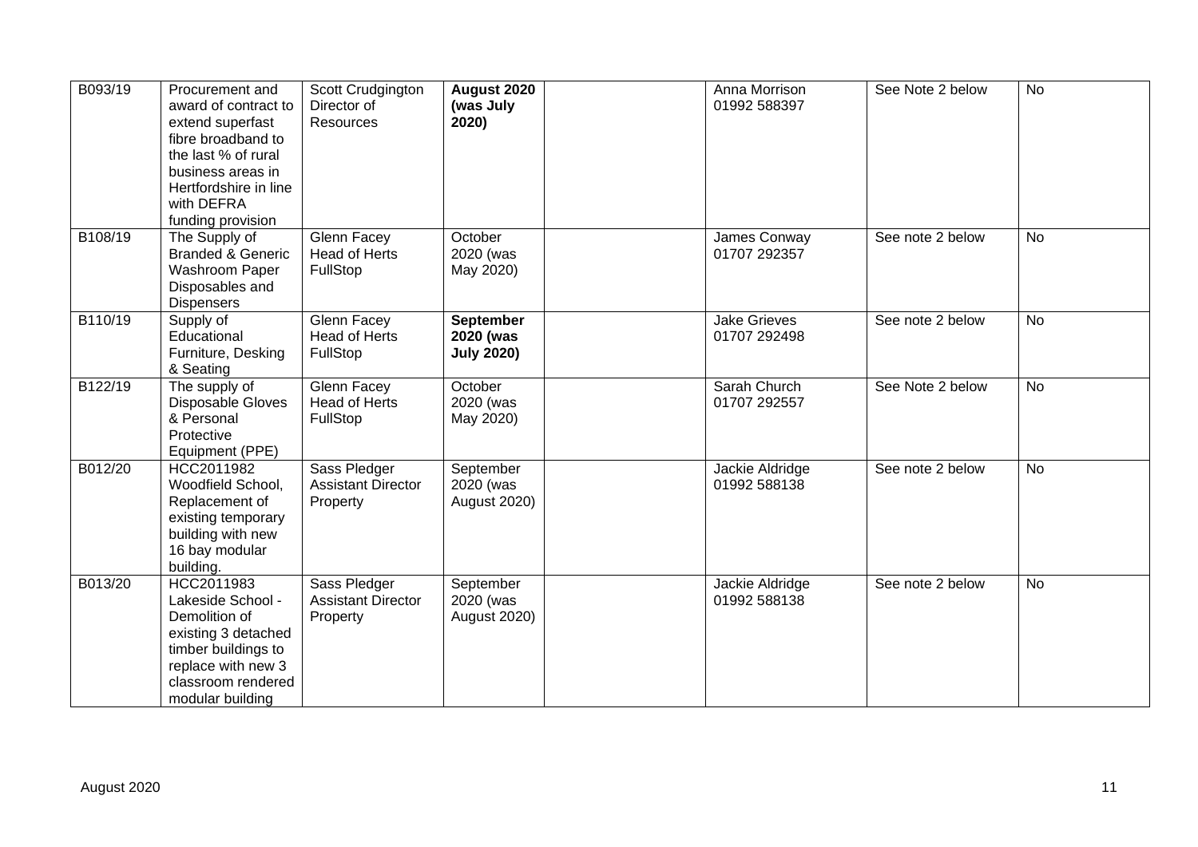| B093/19 | Procurement and<br>award of contract to<br>extend superfast<br>fibre broadband to<br>the last % of rural<br>business areas in<br>Hertfordshire in line<br>with DEFRA<br>funding provision | Scott Crudgington<br>Director of<br>Resources         | August 2020<br>(was July<br>2020)                  | Anna Morrison<br>01992 588397       | See Note 2 below | <b>No</b> |
|---------|-------------------------------------------------------------------------------------------------------------------------------------------------------------------------------------------|-------------------------------------------------------|----------------------------------------------------|-------------------------------------|------------------|-----------|
| B108/19 | The Supply of<br><b>Branded &amp; Generic</b><br>Washroom Paper<br>Disposables and<br><b>Dispensers</b>                                                                                   | Glenn Facey<br><b>Head of Herts</b><br>FullStop       | October<br>2020 (was<br>May 2020)                  | James Conway<br>01707 292357        | See note 2 below | <b>No</b> |
| B110/19 | Supply of<br>Educational<br>Furniture, Desking<br>& Seating                                                                                                                               | Glenn Facey<br>Head of Herts<br>FullStop              | <b>September</b><br>2020 (was<br><b>July 2020)</b> | <b>Jake Grieves</b><br>01707 292498 | See note 2 below | <b>No</b> |
| B122/19 | The supply of<br>Disposable Gloves<br>& Personal<br>Protective<br>Equipment (PPE)                                                                                                         | Glenn Facey<br><b>Head of Herts</b><br>FullStop       | October<br>2020 (was<br>May 2020)                  | Sarah Church<br>01707 292557        | See Note 2 below | <b>No</b> |
| B012/20 | HCC2011982<br>Woodfield School,<br>Replacement of<br>existing temporary<br>building with new<br>16 bay modular<br>building.                                                               | Sass Pledger<br><b>Assistant Director</b><br>Property | September<br>2020 (was<br>August 2020)             | Jackie Aldridge<br>01992 588138     | See note 2 below | <b>No</b> |
| B013/20 | HCC2011983<br>Lakeside School -<br>Demolition of<br>existing 3 detached<br>timber buildings to<br>replace with new 3<br>classroom rendered<br>modular building                            | Sass Pledger<br><b>Assistant Director</b><br>Property | September<br>2020 (was<br><b>August 2020)</b>      | Jackie Aldridge<br>01992 588138     | See note 2 below | <b>No</b> |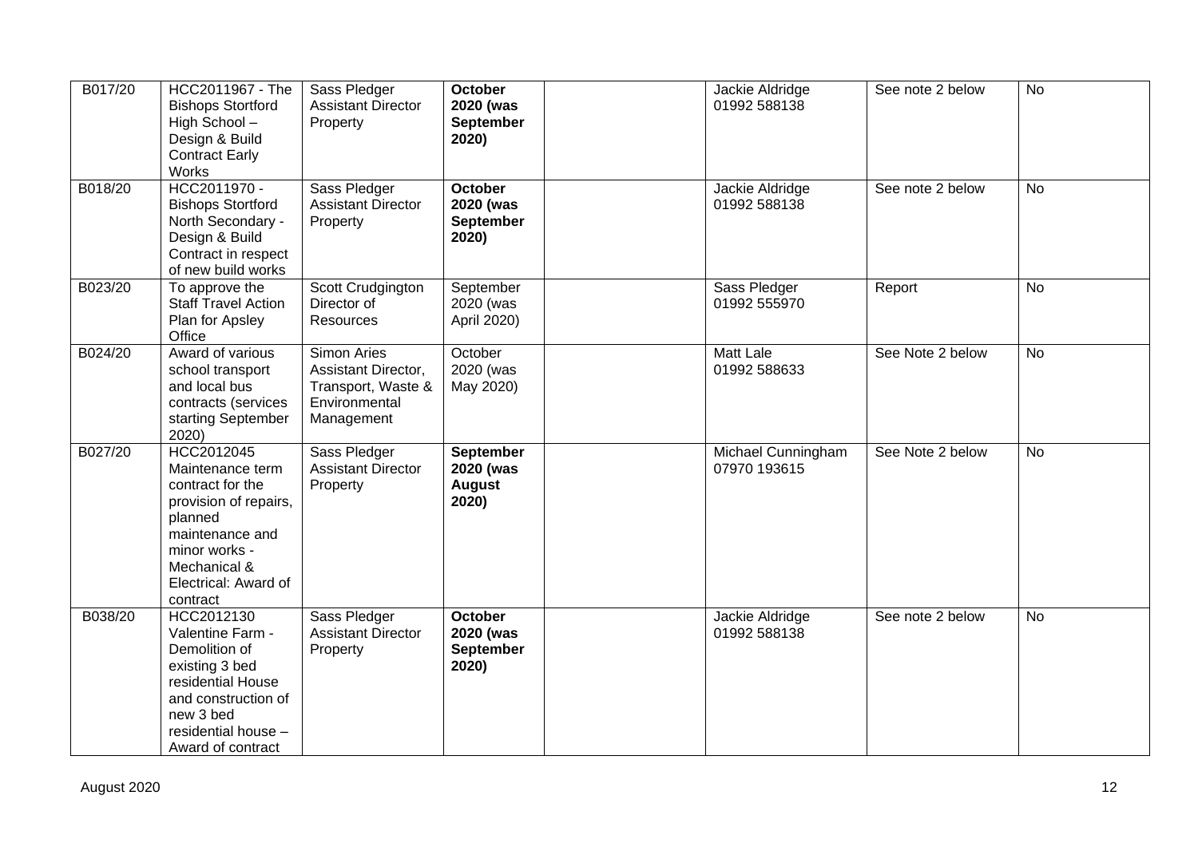| B017/20 | HCC2011967 - The<br><b>Bishops Stortford</b><br>High School-<br>Design & Build<br><b>Contract Early</b><br>Works                                                               | Sass Pledger<br><b>Assistant Director</b><br>Property                                   | <b>October</b><br>2020 (was<br><b>September</b><br>2020) | Jackie Aldridge<br>01992 588138    | See note 2 below | <b>No</b> |
|---------|--------------------------------------------------------------------------------------------------------------------------------------------------------------------------------|-----------------------------------------------------------------------------------------|----------------------------------------------------------|------------------------------------|------------------|-----------|
| B018/20 | HCC2011970 -<br><b>Bishops Stortford</b><br>North Secondary -<br>Design & Build<br>Contract in respect<br>of new build works                                                   | Sass Pledger<br><b>Assistant Director</b><br>Property                                   | October<br>2020 (was<br><b>September</b><br>2020)        | Jackie Aldridge<br>01992 588138    | See note 2 below | No        |
| B023/20 | To approve the<br><b>Staff Travel Action</b><br>Plan for Apsley<br>Office                                                                                                      | Scott Crudgington<br>Director of<br>Resources                                           | September<br>2020 (was<br>April 2020)                    | Sass Pledger<br>01992 555970       | Report           | <b>No</b> |
| B024/20 | Award of various<br>school transport<br>and local bus<br>contracts (services<br>starting September<br>2020)                                                                    | Simon Aries<br>Assistant Director,<br>Transport, Waste &<br>Environmental<br>Management | October<br>2020 (was<br>May 2020)                        | <b>Matt Lale</b><br>01992 588633   | See Note 2 below | <b>No</b> |
| B027/20 | HCC2012045<br>Maintenance term<br>contract for the<br>provision of repairs,<br>planned<br>maintenance and<br>minor works -<br>Mechanical &<br>Electrical: Award of<br>contract | Sass Pledger<br><b>Assistant Director</b><br>Property                                   | <b>September</b><br>2020 (was<br><b>August</b><br>2020)  | Michael Cunningham<br>07970 193615 | See Note 2 below | <b>No</b> |
| B038/20 | HCC2012130<br>Valentine Farm -<br>Demolition of<br>existing 3 bed<br>residential House<br>and construction of<br>new 3 bed<br>residential house -<br>Award of contract         | Sass Pledger<br><b>Assistant Director</b><br>Property                                   | <b>October</b><br>2020 (was<br><b>September</b><br>2020) | Jackie Aldridge<br>01992 588138    | See note 2 below | <b>No</b> |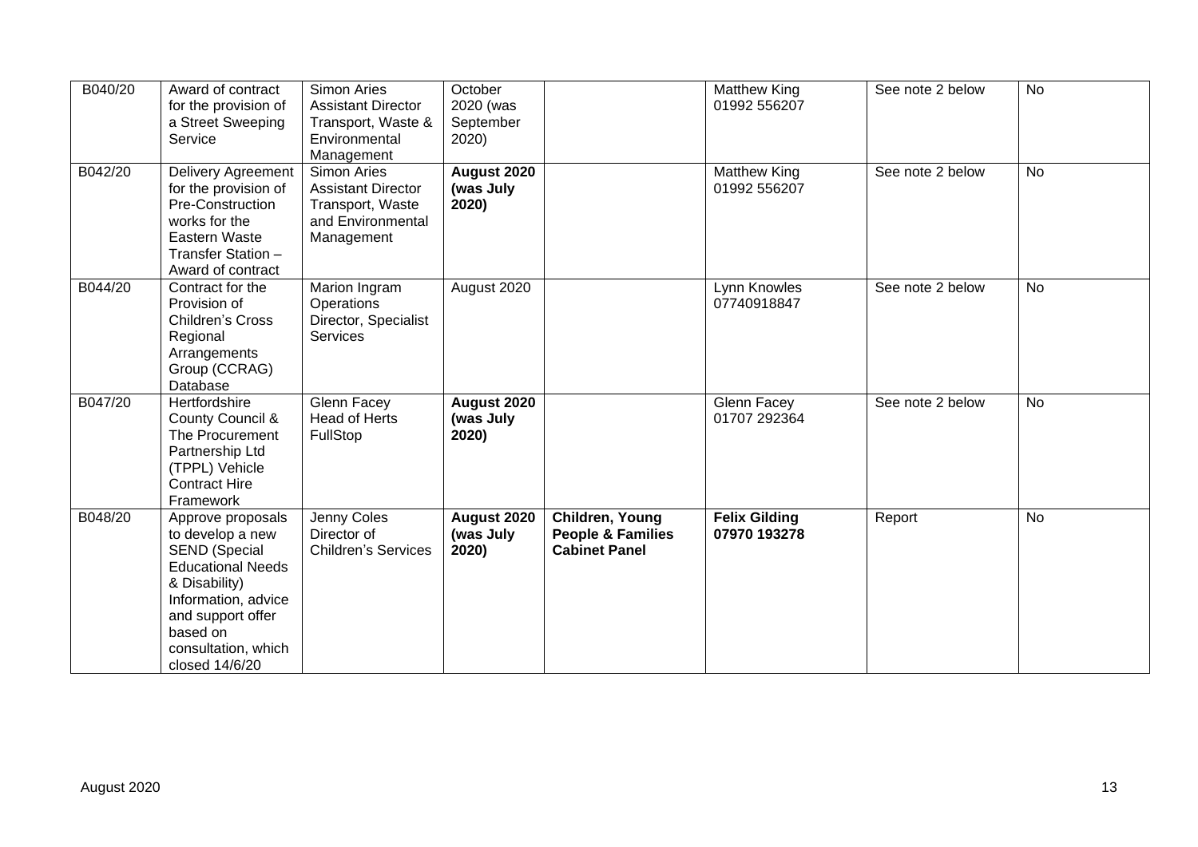| B040/20 | Award of contract<br>for the provision of<br>a Street Sweeping<br>Service                                                                                                                                   | Simon Aries<br><b>Assistant Director</b><br>Transport, Waste &<br>Environmental<br>Management   | October<br>2020 (was<br>September<br>2020) |                                                                         | <b>Matthew King</b><br>01992 556207  | See note 2 below | <b>No</b> |
|---------|-------------------------------------------------------------------------------------------------------------------------------------------------------------------------------------------------------------|-------------------------------------------------------------------------------------------------|--------------------------------------------|-------------------------------------------------------------------------|--------------------------------------|------------------|-----------|
| B042/20 | <b>Delivery Agreement</b><br>for the provision of<br>Pre-Construction<br>works for the<br>Eastern Waste<br>Transfer Station -<br>Award of contract                                                          | Simon Aries<br><b>Assistant Director</b><br>Transport, Waste<br>and Environmental<br>Management | <b>August 2020</b><br>(was July<br>2020)   |                                                                         | <b>Matthew King</b><br>01992 556207  | See note 2 below | No        |
| B044/20 | Contract for the<br>Provision of<br>Children's Cross<br>Regional<br>Arrangements<br>Group (CCRAG)<br>Database                                                                                               | Marion Ingram<br>Operations<br>Director, Specialist<br><b>Services</b>                          | August 2020                                |                                                                         | Lynn Knowles<br>07740918847          | See note 2 below | No        |
| B047/20 | Hertfordshire<br><b>County Council &amp;</b><br>The Procurement<br>Partnership Ltd<br>(TPPL) Vehicle<br><b>Contract Hire</b><br>Framework                                                                   | Glenn Facey<br><b>Head of Herts</b><br>FullStop                                                 | August 2020<br>(was July<br>2020)          |                                                                         | Glenn Facey<br>01707 292364          | See note 2 below | <b>No</b> |
| B048/20 | Approve proposals<br>to develop a new<br><b>SEND (Special</b><br><b>Educational Needs</b><br>& Disability)<br>Information, advice<br>and support offer<br>based on<br>consultation, which<br>closed 14/6/20 | Jenny Coles<br>Director of<br><b>Children's Services</b>                                        | August 2020<br>(was July<br>2020)          | Children, Young<br><b>People &amp; Families</b><br><b>Cabinet Panel</b> | <b>Felix Gilding</b><br>07970 193278 | Report           | <b>No</b> |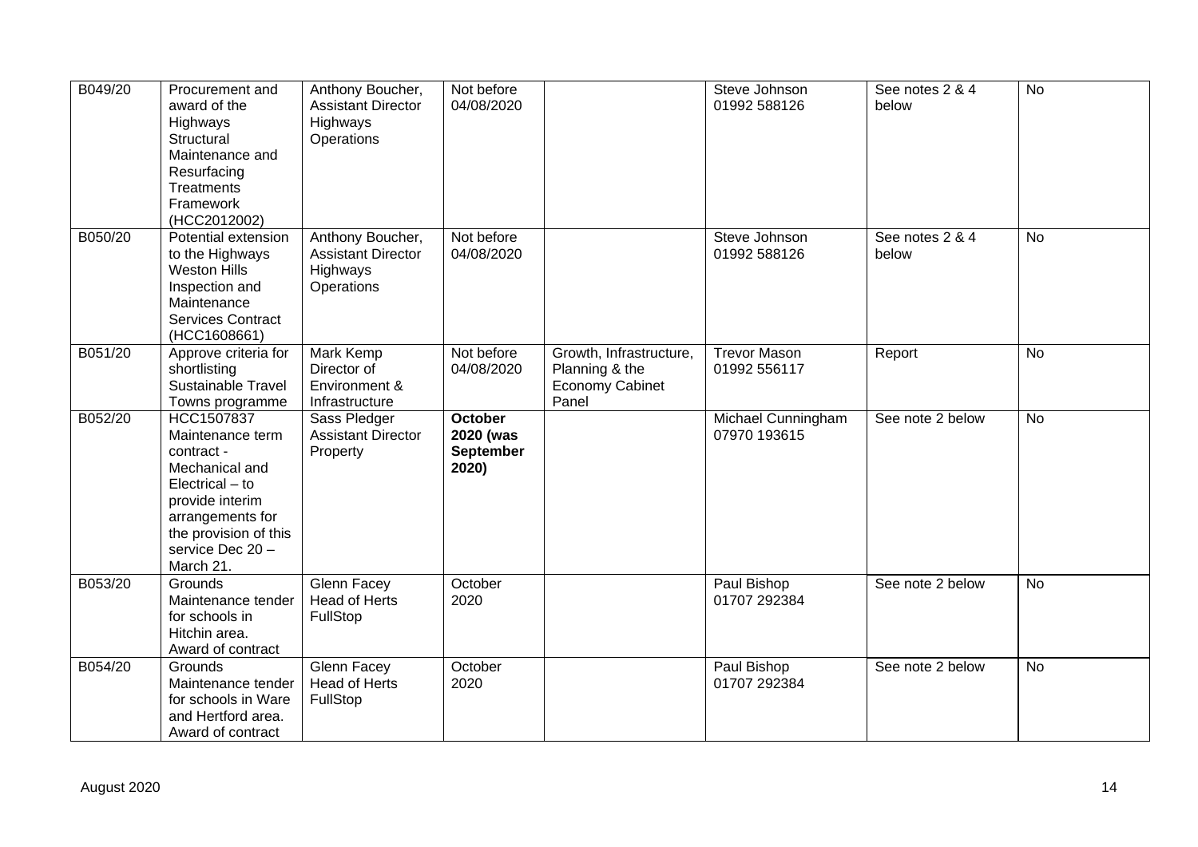| B049/20 | Procurement and<br>award of the<br>Highways<br>Structural<br>Maintenance and<br>Resurfacing<br>Treatments<br>Framework<br>(HCC2012002)                                            | Anthony Boucher,<br><b>Assistant Director</b><br>Highways<br>Operations | Not before<br>04/08/2020                   |                                                                              | Steve Johnson<br>01992 588126       | See notes $2 & 4$<br>below | <b>No</b> |
|---------|-----------------------------------------------------------------------------------------------------------------------------------------------------------------------------------|-------------------------------------------------------------------------|--------------------------------------------|------------------------------------------------------------------------------|-------------------------------------|----------------------------|-----------|
| B050/20 | Potential extension<br>to the Highways<br><b>Weston Hills</b><br>Inspection and<br>Maintenance<br><b>Services Contract</b><br>(HCC1608661)                                        | Anthony Boucher,<br><b>Assistant Director</b><br>Highways<br>Operations | Not before<br>04/08/2020                   |                                                                              | Steve Johnson<br>01992 588126       | See notes 2 & 4<br>below   | <b>No</b> |
| B051/20 | Approve criteria for<br>shortlisting<br>Sustainable Travel<br>Towns programme                                                                                                     | Mark Kemp<br>Director of<br>Environment &<br>Infrastructure             | Not before<br>04/08/2020                   | Growth, Infrastructure,<br>Planning & the<br><b>Economy Cabinet</b><br>Panel | <b>Trevor Mason</b><br>01992 556117 | Report                     | <b>No</b> |
| B052/20 | HCC1507837<br>Maintenance term<br>contract -<br>Mechanical and<br>Electrical - to<br>provide interim<br>arrangements for<br>the provision of this<br>service Dec 20-<br>March 21. | Sass Pledger<br><b>Assistant Director</b><br>Property                   | October<br>2020 (was<br>September<br>2020) |                                                                              | Michael Cunningham<br>07970 193615  | See note 2 below           | <b>No</b> |
| B053/20 | Grounds<br>Maintenance tender<br>for schools in<br>Hitchin area.<br>Award of contract                                                                                             | Glenn Facey<br><b>Head of Herts</b><br>FullStop                         | October<br>2020                            |                                                                              | Paul Bishop<br>01707 292384         | See note 2 below           | <b>No</b> |
| B054/20 | Grounds<br>Maintenance tender<br>for schools in Ware<br>and Hertford area.<br>Award of contract                                                                                   | Glenn Facey<br>Head of Herts<br>FullStop                                | October<br>2020                            |                                                                              | Paul Bishop<br>01707 292384         | See note 2 below           | <b>No</b> |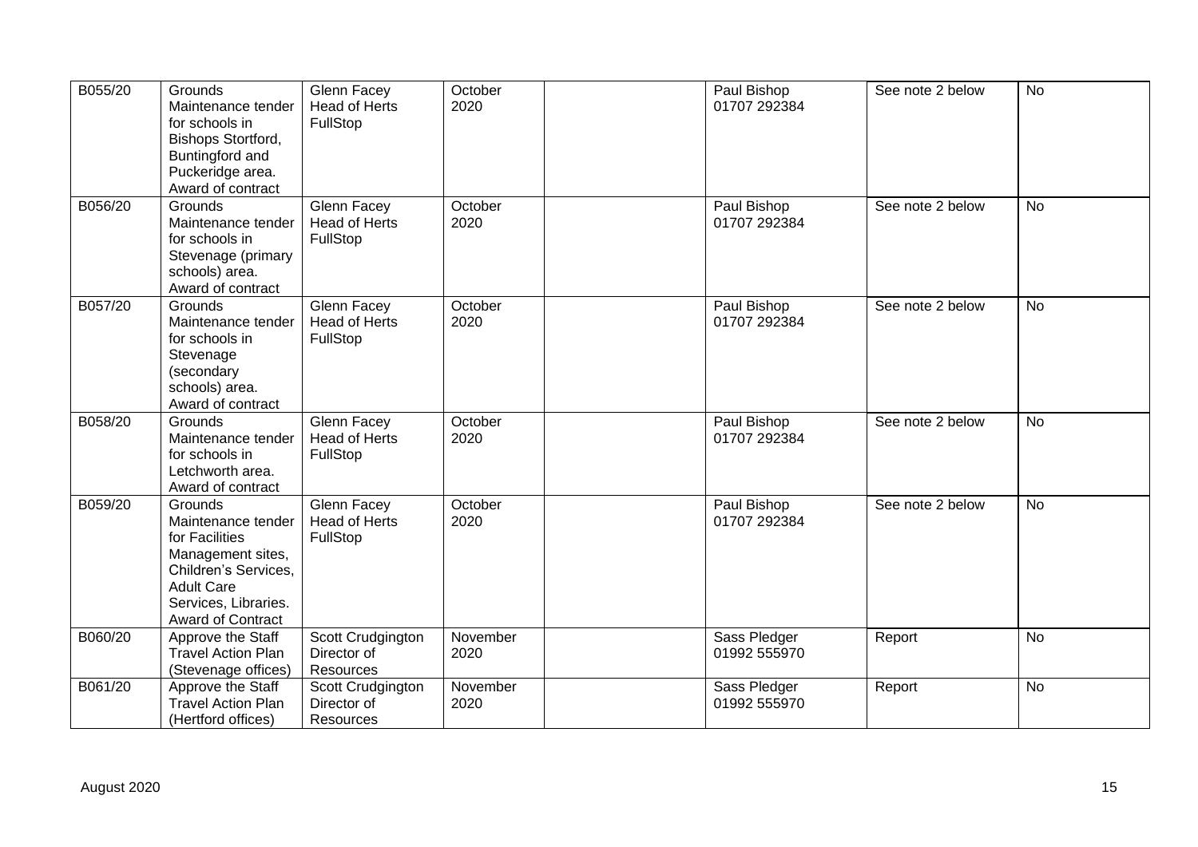| B055/20 | Grounds<br>Maintenance tender<br>for schools in<br>Bishops Stortford,<br>Buntingford and<br>Puckeridge area.<br>Award of contract                              | Glenn Facey<br><b>Head of Herts</b><br>FullStop | October<br>2020  | Paul Bishop<br>01707 292384  | See note 2 below | <b>No</b> |
|---------|----------------------------------------------------------------------------------------------------------------------------------------------------------------|-------------------------------------------------|------------------|------------------------------|------------------|-----------|
| B056/20 | Grounds<br>Maintenance tender<br>for schools in<br>Stevenage (primary<br>schools) area.<br>Award of contract                                                   | Glenn Facey<br><b>Head of Herts</b><br>FullStop | October<br>2020  | Paul Bishop<br>01707 292384  | See note 2 below | <b>No</b> |
| B057/20 | Grounds<br>Maintenance tender<br>for schools in<br>Stevenage<br>(secondary<br>schools) area.<br>Award of contract                                              | Glenn Facey<br><b>Head of Herts</b><br>FullStop | October<br>2020  | Paul Bishop<br>01707 292384  | See note 2 below | <b>No</b> |
| B058/20 | Grounds<br>Maintenance tender<br>for schools in<br>Letchworth area.<br>Award of contract                                                                       | Glenn Facey<br>Head of Herts<br>FullStop        | October<br>2020  | Paul Bishop<br>01707 292384  | See note 2 below | <b>No</b> |
| B059/20 | Grounds<br>Maintenance tender<br>for Facilities<br>Management sites,<br>Children's Services,<br><b>Adult Care</b><br>Services, Libraries.<br>Award of Contract | Glenn Facey<br>Head of Herts<br>FullStop        | October<br>2020  | Paul Bishop<br>01707 292384  | See note 2 below | <b>No</b> |
| B060/20 | Approve the Staff<br><b>Travel Action Plan</b><br>(Stevenage offices)                                                                                          | Scott Crudgington<br>Director of<br>Resources   | November<br>2020 | Sass Pledger<br>01992 555970 | Report           | <b>No</b> |
| B061/20 | Approve the Staff<br><b>Travel Action Plan</b><br>(Hertford offices)                                                                                           | Scott Crudgington<br>Director of<br>Resources   | November<br>2020 | Sass Pledger<br>01992 555970 | Report           | No        |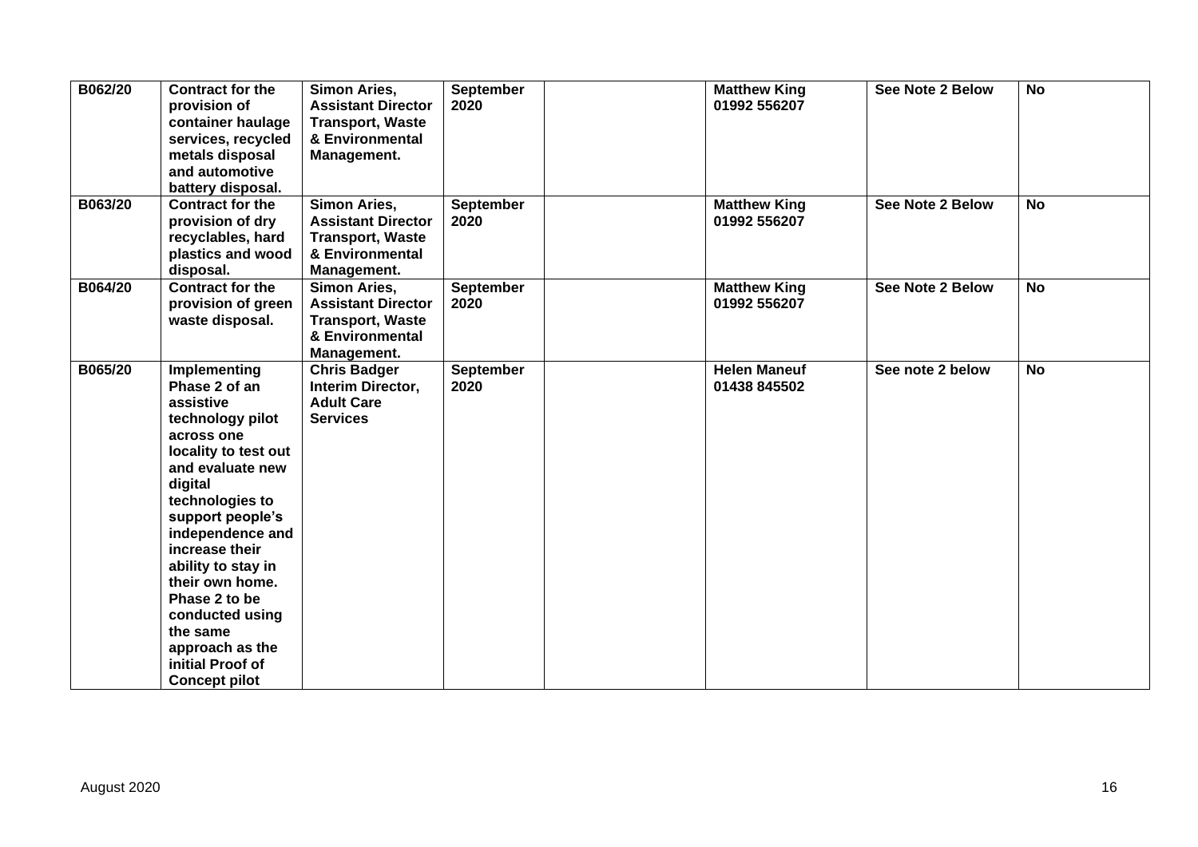| B062/20 | <b>Contract for the</b><br>provision of<br>container haulage<br>services, recycled<br>metals disposal<br>and automotive<br>battery disposal.                                                                                                                                                                                                                             | Simon Aries,<br><b>Assistant Director</b><br><b>Transport, Waste</b><br>& Environmental<br>Management.        | September<br>2020        | <b>Matthew King</b><br>01992 556207 | See Note 2 Below | <b>No</b> |
|---------|--------------------------------------------------------------------------------------------------------------------------------------------------------------------------------------------------------------------------------------------------------------------------------------------------------------------------------------------------------------------------|---------------------------------------------------------------------------------------------------------------|--------------------------|-------------------------------------|------------------|-----------|
| B063/20 | <b>Contract for the</b><br>provision of dry<br>recyclables, hard<br>plastics and wood<br>disposal.                                                                                                                                                                                                                                                                       | <b>Simon Aries,</b><br><b>Assistant Director</b><br><b>Transport, Waste</b><br>& Environmental<br>Management. | <b>September</b><br>2020 | <b>Matthew King</b><br>01992 556207 | See Note 2 Below | <b>No</b> |
| B064/20 | <b>Contract for the</b><br>provision of green<br>waste disposal.                                                                                                                                                                                                                                                                                                         | Simon Aries,<br><b>Assistant Director</b><br><b>Transport, Waste</b><br>& Environmental<br>Management.        | <b>September</b><br>2020 | <b>Matthew King</b><br>01992 556207 | See Note 2 Below | <b>No</b> |
| B065/20 | Implementing<br>Phase 2 of an<br>assistive<br>technology pilot<br>across one<br>locality to test out<br>and evaluate new<br>digital<br>technologies to<br>support people's<br>independence and<br>increase their<br>ability to stay in<br>their own home.<br>Phase 2 to be<br>conducted using<br>the same<br>approach as the<br>initial Proof of<br><b>Concept pilot</b> | <b>Chris Badger</b><br>Interim Director,<br><b>Adult Care</b><br><b>Services</b>                              | <b>September</b><br>2020 | <b>Helen Maneuf</b><br>01438 845502 | See note 2 below | <b>No</b> |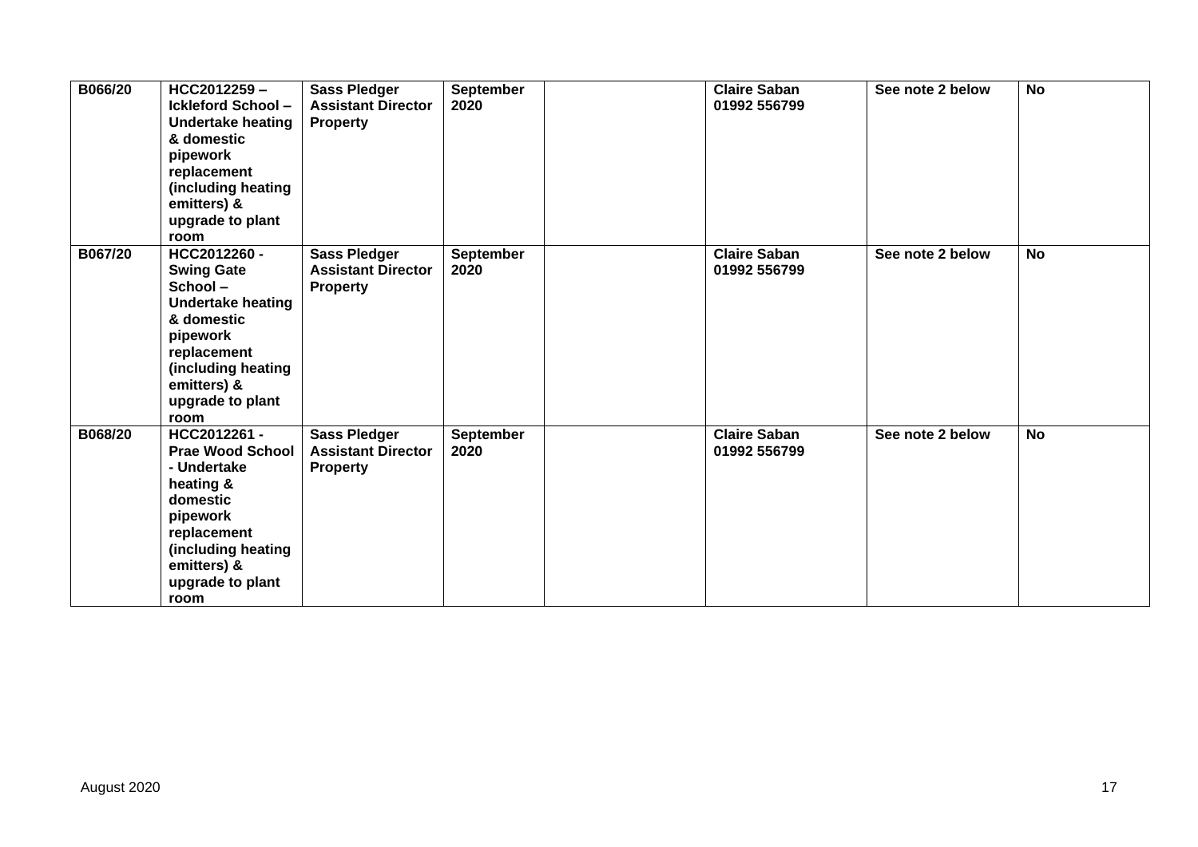| B066/20 | HCC2012259-<br><b>Ickleford School-</b><br><b>Undertake heating</b><br>& domestic<br>pipework<br>replacement<br>(including heating<br>emitters) &<br>upgrade to plant<br>room      | <b>Sass Pledger</b><br><b>Assistant Director</b><br><b>Property</b> | September<br>2020 | <b>Claire Saban</b><br>01992 556799 | See note 2 below | <b>No</b> |
|---------|------------------------------------------------------------------------------------------------------------------------------------------------------------------------------------|---------------------------------------------------------------------|-------------------|-------------------------------------|------------------|-----------|
| B067/20 | HCC2012260 -<br><b>Swing Gate</b><br>School-<br><b>Undertake heating</b><br>& domestic<br>pipework<br>replacement<br>(including heating<br>emitters) &<br>upgrade to plant<br>room | <b>Sass Pledger</b><br><b>Assistant Director</b><br><b>Property</b> | September<br>2020 | <b>Claire Saban</b><br>01992 556799 | See note 2 below | <b>No</b> |
| B068/20 | HCC2012261-<br><b>Prae Wood School</b><br>- Undertake<br>heating &<br>domestic<br>pipework<br>replacement<br>(including heating<br>emitters) &<br>upgrade to plant<br>room         | <b>Sass Pledger</b><br><b>Assistant Director</b><br><b>Property</b> | September<br>2020 | <b>Claire Saban</b><br>01992 556799 | See note 2 below | <b>No</b> |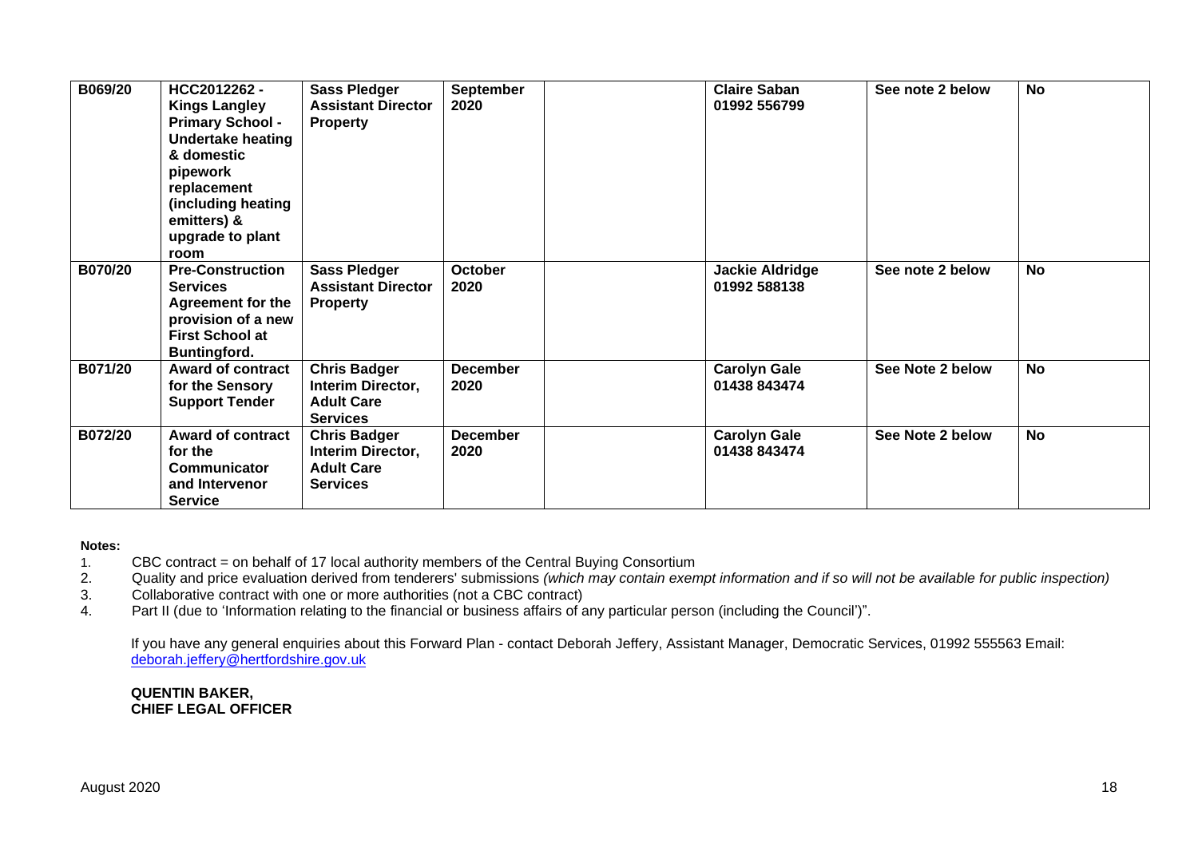| B069/20 | HCC2012262 -<br><b>Kings Langley</b><br><b>Primary School -</b><br><b>Undertake heating</b><br>& domestic<br>pipework<br>replacement<br>(including heating<br>emitters) &<br>upgrade to plant<br>room | <b>Sass Pledger</b><br><b>Assistant Director</b><br><b>Property</b>              | September<br>2020       | <b>Claire Saban</b><br>01992 556799    | See note 2 below | <b>No</b> |
|---------|-------------------------------------------------------------------------------------------------------------------------------------------------------------------------------------------------------|----------------------------------------------------------------------------------|-------------------------|----------------------------------------|------------------|-----------|
| B070/20 | <b>Pre-Construction</b><br><b>Services</b><br><b>Agreement for the</b><br>provision of a new<br><b>First School at</b><br><b>Buntingford.</b>                                                         | <b>Sass Pledger</b><br><b>Assistant Director</b><br><b>Property</b>              | <b>October</b><br>2020  | <b>Jackie Aldridge</b><br>01992 588138 | See note 2 below | <b>No</b> |
| B071/20 | <b>Award of contract</b><br>for the Sensory<br><b>Support Tender</b>                                                                                                                                  | <b>Chris Badger</b><br>Interim Director,<br><b>Adult Care</b><br><b>Services</b> | <b>December</b><br>2020 | <b>Carolyn Gale</b><br>01438 843474    | See Note 2 below | <b>No</b> |
| B072/20 | <b>Award of contract</b><br>for the<br>Communicator<br>and Intervenor<br><b>Service</b>                                                                                                               | <b>Chris Badger</b><br>Interim Director,<br><b>Adult Care</b><br><b>Services</b> | <b>December</b><br>2020 | <b>Carolyn Gale</b><br>01438 843474    | See Note 2 below | <b>No</b> |

#### **Notes:**

- 1. CBC contract = on behalf of 17 local authority members of the Central Buying Consortium
- 2. Quality and price evaluation derived from tenderers' submissions *(which may contain exempt information and if so will not be available for public inspection)*
- Collaborative contract with one or more authorities (not a CBC contract)
- 4. Part II (due to 'Information relating to the financial or business affairs of any particular person (including the Council')".

If you have any general enquiries about this Forward Plan - contact Deborah Jeffery, Assistant Manager, Democratic Services, 01992 555563 Email: [deborah.jeffery@hertfordshire.gov.uk](mailto:deborah.jeffery@hertfordshire.gov.uk) 

#### **QUENTIN BAKER, CHIEF LEGAL OFFICER**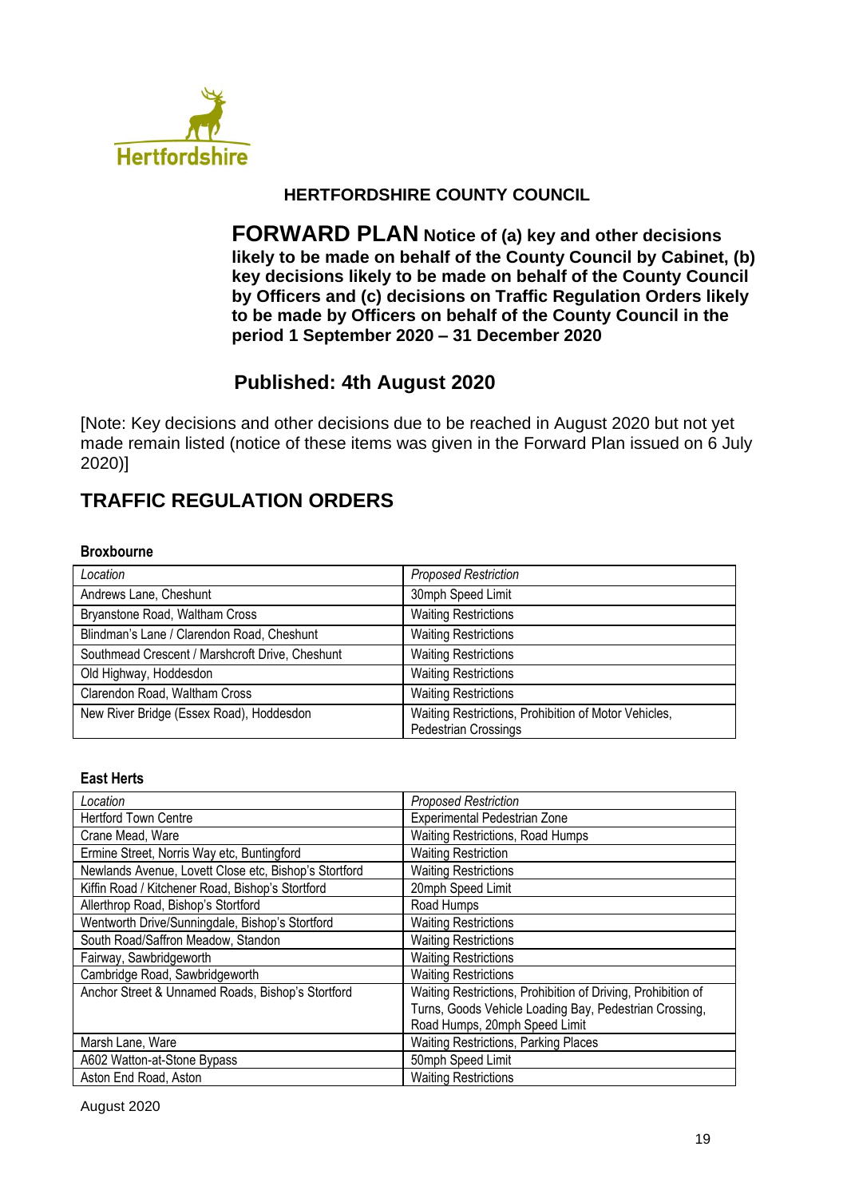

# **HERTFORDSHIRE COUNTY COUNCIL**

**FORWARD PLAN Notice of (a) key and other decisions likely to be made on behalf of the County Council by Cabinet, (b) key decisions likely to be made on behalf of the County Council by Officers and (c) decisions on Traffic Regulation Orders likely to be made by Officers on behalf of the County Council in the period 1 September 2020 – 31 December 2020**

# **Published: 4th August 2020**

[Note: Key decisions and other decisions due to be reached in August 2020 but not yet made remain listed (notice of these items was given in the Forward Plan issued on 6 July 2020)]

# **TRAFFIC REGULATION ORDERS**

#### **Broxbourne**

| Location                                        | <b>Proposed Restriction</b>                                                         |
|-------------------------------------------------|-------------------------------------------------------------------------------------|
| Andrews Lane, Cheshunt                          | 30mph Speed Limit                                                                   |
| Bryanstone Road, Waltham Cross                  | <b>Waiting Restrictions</b>                                                         |
| Blindman's Lane / Clarendon Road, Cheshunt      | <b>Waiting Restrictions</b>                                                         |
| Southmead Crescent / Marshcroft Drive, Cheshunt | <b>Waiting Restrictions</b>                                                         |
| Old Highway, Hoddesdon                          | <b>Waiting Restrictions</b>                                                         |
| Clarendon Road, Waltham Cross                   | <b>Waiting Restrictions</b>                                                         |
| New River Bridge (Essex Road), Hoddesdon        | Waiting Restrictions, Prohibition of Motor Vehicles,<br><b>Pedestrian Crossings</b> |

#### **East Herts**

| Location                                              | <b>Proposed Restriction</b>                                  |
|-------------------------------------------------------|--------------------------------------------------------------|
| <b>Hertford Town Centre</b>                           | Experimental Pedestrian Zone                                 |
| Crane Mead, Ware                                      | Waiting Restrictions, Road Humps                             |
| Ermine Street, Norris Way etc, Buntingford            | <b>Waiting Restriction</b>                                   |
| Newlands Avenue, Lovett Close etc, Bishop's Stortford | <b>Waiting Restrictions</b>                                  |
| Kiffin Road / Kitchener Road, Bishop's Stortford      | 20mph Speed Limit                                            |
| Allerthrop Road, Bishop's Stortford                   | Road Humps                                                   |
| Wentworth Drive/Sunningdale, Bishop's Stortford       | <b>Waiting Restrictions</b>                                  |
| South Road/Saffron Meadow, Standon                    | <b>Waiting Restrictions</b>                                  |
| Fairway, Sawbridgeworth                               | <b>Waiting Restrictions</b>                                  |
| Cambridge Road, Sawbridgeworth                        | <b>Waiting Restrictions</b>                                  |
| Anchor Street & Unnamed Roads, Bishop's Stortford     | Waiting Restrictions, Prohibition of Driving, Prohibition of |
|                                                       | Turns, Goods Vehicle Loading Bay, Pedestrian Crossing,       |
|                                                       | Road Humps, 20mph Speed Limit                                |
| Marsh Lane, Ware                                      | <b>Waiting Restrictions, Parking Places</b>                  |
| A602 Watton-at-Stone Bypass                           | 50mph Speed Limit                                            |
| Aston End Road, Aston                                 | <b>Waiting Restrictions</b>                                  |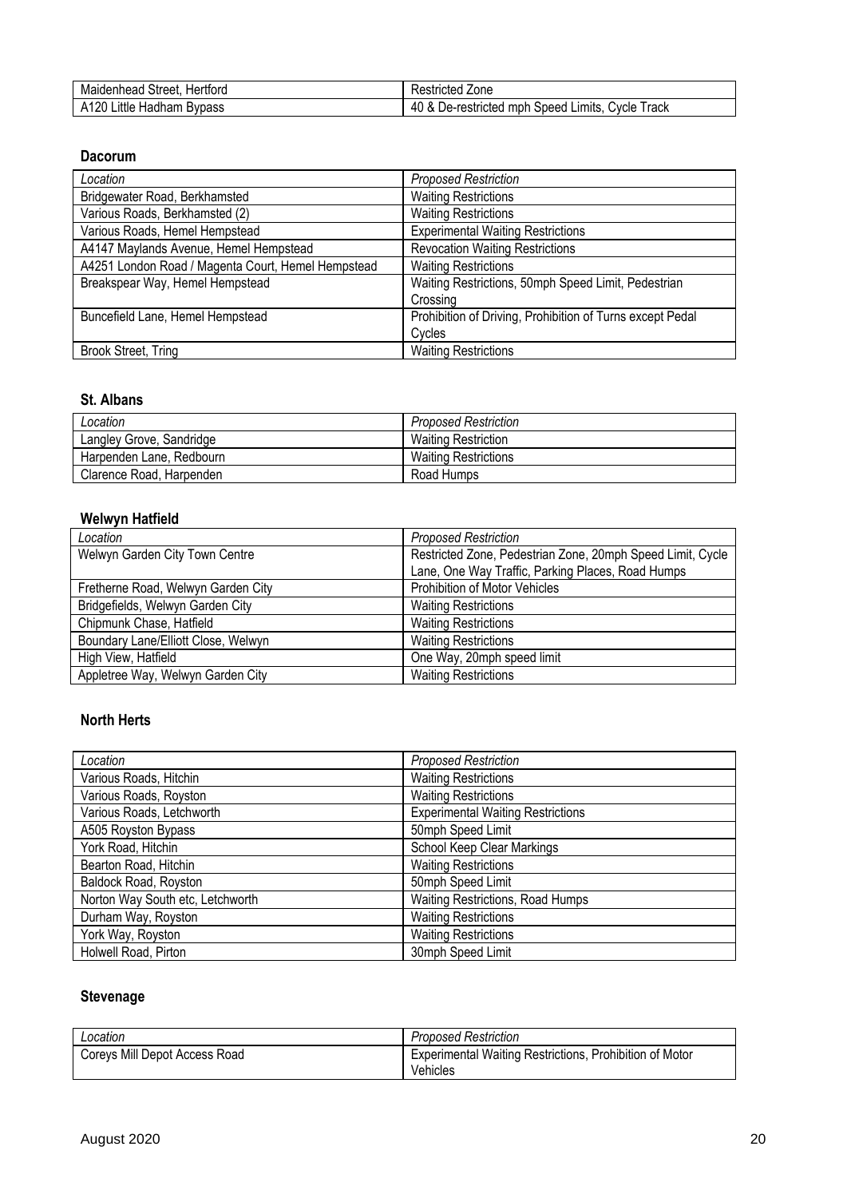| Hertford<br>Maidenhead<br><b>Street</b>          | Zone<br>`or<br>. IULGU 1<br>้งขน                                                |
|--------------------------------------------------|---------------------------------------------------------------------------------|
| 20<br>∟ittle '<br>Λ1<br>Hadham<br><b>B</b> ypass | -<br>rack<br>Limits.<br>∴vcle<br>mph<br>restricteo<br>Speed<br>$^{\circ}$<br>ิบ |

#### **Dacorum**

| Location                                           | <b>Proposed Restriction</b>                               |
|----------------------------------------------------|-----------------------------------------------------------|
| Bridgewater Road, Berkhamsted                      | <b>Waiting Restrictions</b>                               |
| Various Roads, Berkhamsted (2)                     | <b>Waiting Restrictions</b>                               |
| Various Roads, Hemel Hempstead                     | <b>Experimental Waiting Restrictions</b>                  |
| A4147 Maylands Avenue, Hemel Hempstead             | <b>Revocation Waiting Restrictions</b>                    |
| A4251 London Road / Magenta Court, Hemel Hempstead | <b>Waiting Restrictions</b>                               |
| Breakspear Way, Hemel Hempstead                    | Waiting Restrictions, 50mph Speed Limit, Pedestrian       |
|                                                    | Crossing                                                  |
| Buncefield Lane, Hemel Hempstead                   | Prohibition of Driving, Prohibition of Turns except Pedal |
|                                                    | Cycles                                                    |
| Brook Street, Tring                                | <b>Waiting Restrictions</b>                               |

# **St. Albans**

| Location                 | <b>Proposed Restriction</b> |
|--------------------------|-----------------------------|
| Langley Grove, Sandridge | <b>Waiting Restriction</b>  |
| Harpenden Lane, Redbourn | <b>Waiting Restrictions</b> |
| Clarence Road, Harpenden | Road Humps                  |

## **Welwyn Hatfield**

| Location                            | <b>Proposed Restriction</b>                                |
|-------------------------------------|------------------------------------------------------------|
| Welwyn Garden City Town Centre      | Restricted Zone, Pedestrian Zone, 20mph Speed Limit, Cycle |
|                                     | Lane, One Way Traffic, Parking Places, Road Humps          |
| Fretherne Road, Welwyn Garden City  | <b>Prohibition of Motor Vehicles</b>                       |
| Bridgefields, Welwyn Garden City    | <b>Waiting Restrictions</b>                                |
| Chipmunk Chase, Hatfield            | <b>Waiting Restrictions</b>                                |
| Boundary Lane/Elliott Close, Welwyn | <b>Waiting Restrictions</b>                                |
| High View, Hatfield                 | One Way, 20mph speed limit                                 |
| Appletree Way, Welwyn Garden City   | <b>Waiting Restrictions</b>                                |

## **North Herts**

| Location                         | <b>Proposed Restriction</b>              |
|----------------------------------|------------------------------------------|
| Various Roads, Hitchin           | <b>Waiting Restrictions</b>              |
| Various Roads, Royston           | <b>Waiting Restrictions</b>              |
| Various Roads, Letchworth        | <b>Experimental Waiting Restrictions</b> |
| A505 Royston Bypass              | 50mph Speed Limit                        |
| York Road, Hitchin               | School Keep Clear Markings               |
| Bearton Road, Hitchin            | <b>Waiting Restrictions</b>              |
| Baldock Road, Royston            | 50mph Speed Limit                        |
| Norton Way South etc, Letchworth | Waiting Restrictions, Road Humps         |
| Durham Way, Royston              | <b>Waiting Restrictions</b>              |
| York Way, Royston                | <b>Waiting Restrictions</b>              |
| Holwell Road, Pirton             | 30mph Speed Limit                        |

# **Stevenage**

| Location                      | <b>Proposed Restriction</b>                             |
|-------------------------------|---------------------------------------------------------|
| Coreys Mill Depot Access Road | Experimental Waiting Restrictions, Prohibition of Motor |
|                               | Vehicles                                                |